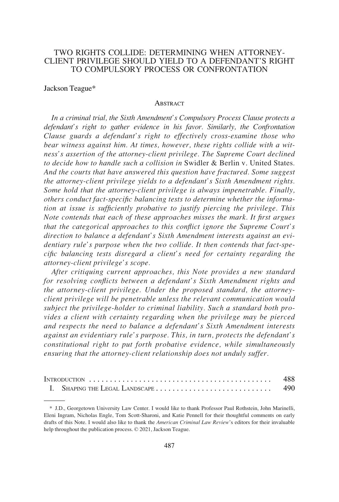# TWO RIGHTS COLLIDE: DETERMINING WHEN ATTORNEY-CLIENT PRIVILEGE SHOULD YIELD TO A DEFENDANT'S RIGHT TO COMPULSORY PROCESS OR CONFRONTATION

#### Jackson Teague\*

### **ABSTRACT**

*In a criminal trial, the Sixth Amendment's Compulsory Process Clause protects a defendant's right to gather evidence in his favor. Similarly, the Confrontation Clause guards a defendant's right to effectively cross-examine those who bear witness against him. At times, however, these rights collide with a witness's assertion of the attorney-client privilege. The Supreme Court declined to decide how to handle such a collision in* Swidler & Berlin v. United States*. And the courts that have answered this question have fractured. Some suggest the attorney-client privilege yields to a defendant's Sixth Amendment rights. Some hold that the attorney-client privilege is always impenetrable. Finally, others conduct fact-specific balancing tests to determine whether the information at issue is sufficiently probative to justify piercing the privilege. This Note contends that each of these approaches misses the mark. It first argues that the categorical approaches to this conflict ignore the Supreme Court's direction to balance a defendant's Sixth Amendment interests against an evidentiary rule's purpose when the two collide. It then contends that fact-specific balancing tests disregard a client's need for certainty regarding the attorney-client privilege's scope.* 

*After critiquing current approaches, this Note provides a new standard for resolving conflicts between a defendant's Sixth Amendment rights and the attorney-client privilege. Under the proposed standard, the attorneyclient privilege will be penetrable unless the relevant communication would subject the privilege-holder to criminal liability. Such a standard both provides a client with certainty regarding when the privilege may be pierced and respects the need to balance a defendant's Sixth Amendment interests against an evidentiary rule's purpose. This, in turn, protects the defendant's constitutional right to put forth probative evidence, while simultaneously ensuring that the attorney-client relationship does not unduly suffer.* 

| I. SHAPING THE LEGAL LANDSCAPE |  |
|--------------------------------|--|

<sup>\*</sup> J.D., Georgetown University Law Center. I would like to thank Professor Paul Rothstein, John Marinelli, Eleni Ingram, Nicholas Engle, Tom Scott-Sharoni, and Katie Pennell for their thoughtful comments on early drafts of this Note. I would also like to thank the *American Criminal Law Review*'s editors for their invaluable help throughout the publication process. © 2021, Jackson Teague.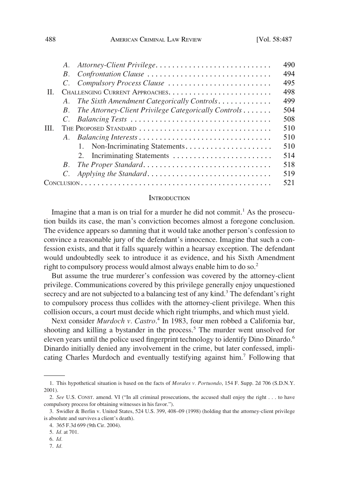<span id="page-1-0"></span>

|      | $A_{\cdot}$ | Attorney-Client Privilege                            | 490 |
|------|-------------|------------------------------------------------------|-----|
|      | $B_{-}$     | Confrontation Clause                                 | 494 |
|      |             | Compulsory Process Clause                            | 495 |
| II.  |             |                                                      | 498 |
|      | A.          | The Sixth Amendment Categorically Controls           | 499 |
|      | $B_{\cdot}$ | The Attorney-Client Privilege Categorically Controls | 504 |
|      |             |                                                      | 508 |
| III. |             |                                                      | 510 |
|      |             |                                                      | 510 |
|      |             | 1. Non-Incriminating Statements                      | 510 |
|      |             | 2. Incriminating Statements                          | 514 |
|      | $B_{\cdot}$ | The Proper Standard                                  | 518 |
|      |             |                                                      | 519 |
|      |             |                                                      | 521 |

#### **INTRODUCTION**

Imagine that a man is on trial for a murder he did not commit.<sup>1</sup> As the prosecution builds its case, the man's conviction becomes almost a foregone conclusion. The evidence appears so damning that it would take another person's confession to convince a reasonable jury of the defendant's innocence. Imagine that such a confession exists, and that it falls squarely within a hearsay exception. The defendant would undoubtedly seek to introduce it as evidence, and his Sixth Amendment right to compulsory process would almost always enable him to do so.<sup>2</sup>

But assume the true murderer's confession was covered by the attorney-client privilege. Communications covered by this privilege generally enjoy unquestioned secrecy and are not subjected to a balancing test of any kind.<sup>3</sup> The defendant's right to compulsory process thus collides with the attorney-client privilege. When this collision occurs, a court must decide which right triumphs, and which must yield.

Next consider *Murdoch v. Castro*. 4 In 1983, four men robbed a California bar, shooting and killing a bystander in the process.<sup>5</sup> The murder went unsolved for eleven years until the police used fingerprint technology to identify Dino Dinardo.<sup>6</sup> Dinardo initially denied any involvement in the crime, but later confessed, implicating Charles Murdoch and eventually testifying against him.7 Following that

<sup>1.</sup> This hypothetical situation is based on the facts of *Morales v. Portuondo*, 154 F. Supp. 2d 706 (S.D.N.Y. 2001).

<sup>2.</sup> *See* U.S. CONST. amend. VI ("In all criminal prosecutions, the accused shall enjoy the right . . . to have compulsory process for obtaining witnesses in his favor.").

<sup>3.</sup> Swidler & Berlin v. United States, 524 U.S. 399, 408–09 (1998) (holding that the attorney-client privilege is absolute and survives a client's death).

<sup>4. 365</sup> F.3d 699 (9th Cir. 2004).

<sup>5.</sup> *Id.* at 701.

<sup>6.</sup> *Id.* 

<sup>7.</sup> *Id.*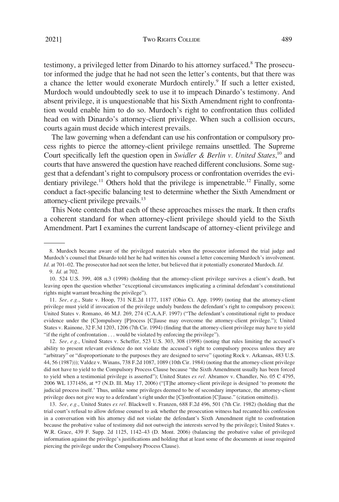testimony, a privileged letter from Dinardo to his attorney surfaced.8 The prosecutor informed the judge that he had not seen the letter's contents, but that there was a chance the letter would exonerate Murdoch entirely.<sup>9</sup> If such a letter existed, Murdoch would undoubtedly seek to use it to impeach Dinardo's testimony. And absent privilege, it is unquestionable that his Sixth Amendment right to confrontation would enable him to do so. Murdoch's right to confrontation thus collided head on with Dinardo's attorney-client privilege. When such a collision occurs, courts again must decide which interest prevails.

The law governing when a defendant can use his confrontation or compulsory process rights to pierce the attorney-client privilege remains unsettled. The Supreme Court specifically left the question open in *Swidler & Berlin v. United States*, 10 and courts that have answered the question have reached different conclusions. Some suggest that a defendant's right to compulsory process or confrontation overrides the evidentiary privilege.<sup>11</sup> Others hold that the privilege is impenetrable.<sup>12</sup> Finally, some conduct a fact-specific balancing test to determine whether the Sixth Amendment or attorney-client privilege prevails.<sup>13</sup>

This Note contends that each of these approaches misses the mark. It then crafts a coherent standard for when attorney-client privilege should yield to the Sixth Amendment. Part I examines the current landscape of attorney-client privilege and

12. *See, e.g.*, United States v. Scheffer, 523 U.S. 303, 308 (1998) (noting that rules limiting the accused's ability to present relevant evidence do not violate the accused's right to compulsory process unless they are "arbitrary" or "disproportionate to the purposes they are designed to serve" (quoting Rock v. Arkansas, 483 U.S. 44, 56 (1987))); Valdez v. Winans, 738 F.2d 1087, 1089 (10th Cir. 1984) (noting that the attorney-client privilege did not have to yield to the Compulsory Process Clause because "the Sixth Amendment usually has been forced to yield when a testimonial privilege is asserted"); United States *ex rel.* Abramov v. Chandler, No. 05 C 4795, 2006 WL 1371456, at \*7 (N.D. Ill. May 17, 2006) ("[T]he attorney-client privilege is designed 'to promote the judicial process itself.' Thus, unlike some privileges deemed to be of secondary importance, the attorney-client privilege does not give way to a defendant's right under the [C]onfrontation [C]lause." (citation omitted)).

13. *See, e.g.*, United States *ex rel.* Blackwell v. Franzen, 688 F.2d 496, 501 (7th Cir. 1982) (holding that the trial court's refusal to allow defense counsel to ask whether the prosecution witness had recanted his confession in a conversation with his attorney did not violate the defendant's Sixth Amendment right to confrontation because the probative value of testimony did not outweigh the interests served by the privilege); United States v. W.R. Grace, 439 F. Supp. 2d 1125, 1142–43 (D. Mont. 2006) (balancing the probative value of privileged information against the privilege's justifications and holding that at least some of the documents at issue required piercing the privilege under the Compulsory Process Clause).

<sup>8.</sup> Murdoch became aware of the privileged materials when the prosecutor informed the trial judge and Murdoch's counsel that Dinardo told her he had written his counsel a letter concerning Murdoch's involvement. *Id.* at 701–02. The prosecutor had not seen the letter, but believed that it potentially exonerated Murdoch. *Id.*  9. *Id.* at 702.

<sup>10. 524</sup> U.S. 399, 408 n.3 (1998) (holding that the attorney-client privilege survives a client's death, but leaving open the question whether "exceptional circumstances implicating a criminal defendant's constitutional rights might warrant breaching the privilege").

<sup>11.</sup> *See, e.g.*, State v. Hoop, 731 N.E.2d 1177, 1187 (Ohio Ct. App. 1999) (noting that the attorney-client privilege must yield if invocation of the privilege unduly burdens the defendant's right to compulsory process); United States v. Romano, 46 M.J. 269, 274 (C.A.A.F. 1997) ("The defendant's constitutional right to produce evidence under the [C]ompulsory [P]rocess [C]lause may overcome the attorney-client privilege."); United States v. Rainone, 32 F.3d 1203, 1206 (7th Cir. 1994) (finding that the attorney-client privilege may have to yield "if the right of confrontation . . . would be violated by enforcing the privilege").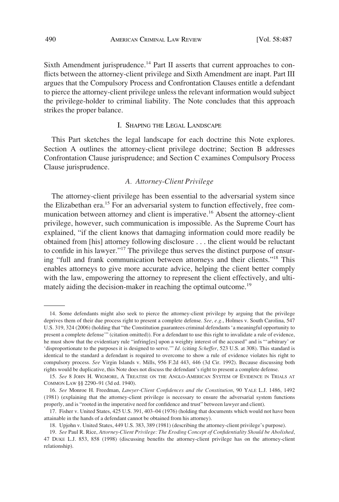<span id="page-3-0"></span>Sixth Amendment jurisprudence.<sup>14</sup> Part II asserts that current approaches to conflicts between the attorney-client privilege and Sixth Amendment are inapt. Part III argues that the Compulsory Process and Confrontation Clauses entitle a defendant to pierce the attorney-client privilege unless the relevant information would subject the privilege-holder to criminal liability. The Note concludes that this approach strikes the proper balance.

## I. SHAPING THE LEGAL LANDSCAPE

This Part sketches the legal landscape for each doctrine this Note explores. Section A outlines the attorney-client privilege doctrine; Section B addresses Confrontation Clause jurisprudence; and Section C examines Compulsory Process Clause jurisprudence.

## *A. Attorney-Client Privilege*

The attorney-client privilege has been essential to the adversarial system since the Elizabethan era.<sup>15</sup> For an adversarial system to function effectively, free communication between attorney and client is imperative.<sup>16</sup> Absent the attorney-client privilege, however, such communication is impossible. As the Supreme Court has explained, "if the client knows that damaging information could more readily be obtained from [his] attorney following disclosure . . . the client would be reluctant to confide in his lawyer."17 The privilege thus serves the distinct purpose of ensuring "full and frank communication between attorneys and their clients."18 This enables attorneys to give more accurate advice, helping the client better comply with the law, empowering the attorney to represent the client effectively, and ultimately aiding the decision-maker in reaching the optimal outcome.<sup>19</sup>

<sup>14.</sup> Some defendants might also seek to pierce the attorney-client privilege by arguing that the privilege deprives them of their due process right to present a complete defense. *See, e.g.*, Holmes v. South Carolina, 547 U.S. 319, 324 (2006) (holding that "the Constitution guarantees criminal defendants 'a meaningful opportunity to present a complete defense'" (citation omitted)). For a defendant to use this right to invalidate a rule of evidence, he must show that the evidentiary rule "infring[es] upon a weighty interest of the accused" and is "'arbitrary' or 'disproportionate to the purposes it is designed to serve.'" *Id.* (citing *Scheffer*, 523 U.S. at 308). This standard is identical to the standard a defendant is required to overcome to show a rule of evidence violates his right to compulsory process. *See* Virgin Islands v. Mills, 956 F.2d 443, 446 (3d Cir. 1992). Because discussing both rights would be duplicative, this Note does not discuss the defendant's right to present a complete defense.

<sup>15.</sup> *See* 8 JOHN H. WIGMORE, A TREATISE ON THE ANGLO-AMERICAN SYSTEM OF EVIDENCE IN TRIALS AT COMMON LAW §§ 2290–91 (3d ed. 1940).

<sup>16.</sup> *See* Monroe H. Freedman, *Lawyer-Client Confidences and the Constitution*, 90 YALE L.J. 1486, 1492 (1981) (explaining that the attorney-client privilege is necessary to ensure the adversarial system functions properly, and is "rooted in the imperative need for confidence and trust" between lawyer and client).

<sup>17.</sup> Fisher v. United States, 425 U.S. 391, 403–04 (1976) (holding that documents which would not have been attainable in the hands of a defendant cannot be obtained from his attorney).

<sup>18.</sup> Upjohn v. United States, 449 U.S. 383, 389 (1981) (describing the attorney-client privilege's purpose).

<sup>19.</sup> *See* Paul R. Rice, *Attorney-Client Privilege: The Eroding Concept of Confidentiality Should be Abolished*, 47 DUKE L.J. 853, 858 (1998) (discussing benefits the attorney-client privilege has on the attorney-client relationship).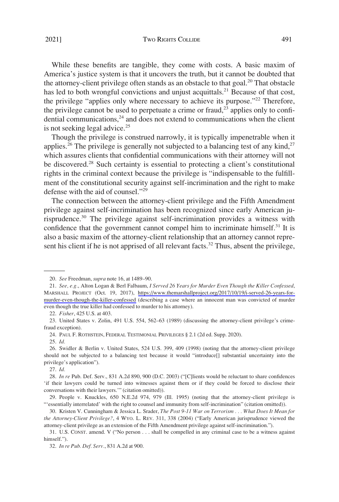2021] Two RIGHTS COLLIDE 491

While these benefits are tangible, they come with costs. A basic maxim of America's justice system is that it uncovers the truth, but it cannot be doubted that the attorney-client privilege often stands as an obstacle to that goal.<sup>20</sup> That obstacle has led to both wrongful convictions and unjust acquittals.<sup>21</sup> Because of that cost, the privilege "applies only where necessary to achieve its purpose."<sup>22</sup> Therefore, the privilege cannot be used to perpetuate a crime or fraud,<sup>23</sup> applies only to confidential communications, $24$  and does not extend to communications when the client is not seeking legal advice.<sup>25</sup>

Though the privilege is construed narrowly, it is typically impenetrable when it applies.<sup>26</sup> The privilege is generally not subjected to a balancing test of any kind,<sup>27</sup> which assures clients that confidential communications with their attorney will not be discovered.<sup>28</sup> Such certainty is essential to protecting a client's constitutional rights in the criminal context because the privilege is "indispensable to the fulfillment of the constitutional security against self-incrimination and the right to make defense with the aid of counsel."<sup>29</sup>

The connection between the attorney-client privilege and the Fifth Amendment privilege against self-incrimination has been recognized since early American jurisprudence.30 The privilege against self-incrimination provides a witness with confidence that the government cannot compel him to incriminate himself.<sup>31</sup> It is also a basic maxim of the attorney-client relationship that an attorney cannot represent his client if he is not apprised of all relevant facts.<sup>32</sup> Thus, absent the privilege,

24. PAUL F. ROTHSTEIN, FEDERAL TESTIMONIAL PRIVILEGES § 2.1 (2d ed. Supp. 2020).

25. *Id.* 

27. *Id.* 

<sup>20.</sup> *See* Freedman, *supra* note 16, at 1489–90.

*See, e.g.*, Alton Logan & Berl Falbaum, *I Served 26 Years for Murder Even Though the Killer Confessed*, 21. MARSHALL PROJECT (Oct. 19, 2017), [https://www.themarshallproject.org/2017/10/19/i-served-26-years-for](https://www.themarshallproject.org/2017/10/19/i-served-26-years-for-murder-even-though-the-killer-confessed)[murder-even-though-the-killer-confessed](https://www.themarshallproject.org/2017/10/19/i-served-26-years-for-murder-even-though-the-killer-confessed) (describing a case where an innocent man was convicted of murder even though the true killer had confessed to murder to his attorney).

<sup>22.</sup> *Fisher*, 425 U.S. at 403.

<sup>23.</sup> United States v. Zolin, 491 U.S. 554, 562–63 (1989) (discussing the attorney-client privilege's crimefraud exception).

<sup>26.</sup> Swidler & Berlin v. United States, 524 U.S. 399, 409 (1998) (noting that the attorney-client privilege should not be subjected to a balancing test because it would "introduce[] substantial uncertainty into the privilege's application").

<sup>28.</sup> *In re* Pub. Def. Serv., 831 A.2d 890, 900 (D.C. 2003) ("[C]lients would be reluctant to share confidences 'if their lawyers could be turned into witnesses against them or if they could be forced to disclose their conversations with their lawyers.'" (citation omitted)).

<sup>29.</sup> People v. Knuckles, 650 N.E.2d 974, 979 (Ill. 1995) (noting that the attorney-client privilege is "'essentially interrelated' with the right to counsel and immunity from self-incrimination" (citation omitted)).

<sup>30.</sup> Kristen V. Cunningham & Jessica L. Srader, *The Post 9-11 War on Terrorism . . . What Does It Mean for the Attorney-Client Privilege?*, 4 WYO. L. REV. 311, 338 (2004) ("Early American jurisprudence viewed the attorney-client privilege as an extension of the Fifth Amendment privilege against self-incrimination.").

<sup>31.</sup> U.S. CONST. amend. V ("No person . . . shall be compelled in any criminal case to be a witness against himself.").

<sup>32.</sup> *In re Pub. Def. Serv.*, 831 A.2d at 900.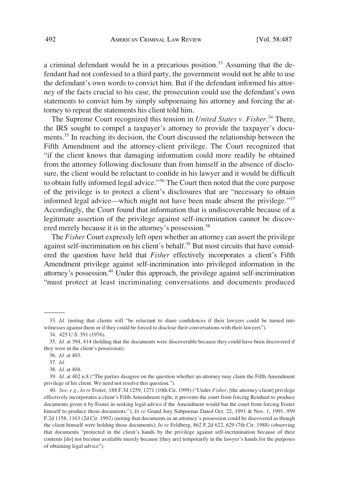a criminal defendant would be in a precarious position.<sup>33</sup> Assuming that the defendant had not confessed to a third party, the government would not be able to use the defendant's own words to convict him. But if the defendant informed his attorney of the facts crucial to his case, the prosecution could use the defendant's own statements to convict him by simply subpoenaing his attorney and forcing the attorney to repeat the statements his client told him.

The Supreme Court recognized this tension in *United States v. Fisher*. 34 There, the IRS sought to compel a taxpayer's attorney to provide the taxpayer's documents.<sup>35</sup> In reaching its decision, the Court discussed the relationship between the Fifth Amendment and the attorney-client privilege. The Court recognized that "if the client knows that damaging information could more readily be obtained from the attorney following disclosure than from himself in the absence of disclosure, the client would be reluctant to confide in his lawyer and it would be difficult to obtain fully informed legal advice."36 The Court then noted that the core purpose of the privilege is to protect a client's disclosures that are "necessary to obtain informed legal advice—which might not have been made absent the privilege."<sup>37</sup> Accordingly, the Court found that information that is undiscoverable because of a legitimate assertion of the privilege against self-incrimination cannot be discovered merely because it is in the attorney's possession.<sup>38</sup>

The *Fisher* Court expressly left open whether an attorney can assert the privilege against self-incrimination on his client's behalf.<sup>39</sup> But most circuits that have considered the question have held that *Fisher* effectively incorporates a client's Fifth Amendment privilege against self-incrimination into privileged information in the attorney's possession.<sup>40</sup> Under this approach, the privilege against self-incrimination "must protect at least incriminating conversations and documents produced

<sup>33.</sup> *Id.* (noting that clients will "be reluctant to share confidences if their lawyers could be turned into witnesses against them or if they could be forced to disclose their conversations with their lawyers").

<sup>34. 425</sup> U.S. 391 (1976).

<sup>35.</sup> *Id.* at 394, 414 (holding that the documents were discoverable because they could have been discovered if they were in the client's possession).

<sup>36.</sup> *Id.* at 403.

<sup>37.</sup> *Id.* 

<sup>38.</sup> *Id.* at 404.

<sup>39.</sup> *Id.* at 402 n.8 ("The parties disagree on the question whether an attorney may claim the Fifth Amendment privilege of his client. We need not resolve this question.").

<sup>40.</sup> *See, e.g.*, *In re* Foster, 188 F.3d 1259, 1271 (10th Cir. 1999) ("Under *Fisher*, [the attorney-client] privilege effectively incorporates a client's Fifth Amendment right; it prevents the court from forcing Reinhart to produce documents given it by Foster in seeking legal advice if the Amendment would bar the court from forcing Foster himself to produce those documents."); *In re* Grand Jury Subpoenas Dated Oct. 22, 1991 & Nov. 1, 1991, 959 F.2d 1158, 1163 (2d Cir. 1992) (noting that documents in an attorney's possession could be discovered as though the client himself were holding those documents); *In re* Feldberg, 862 F.2d 622, 629 (7th Cir. 1988) (observing that documents "protected in the client's hands by the privilege against self-incrimination because of their contents [do] not become available merely because [they are] temporarily in the lawyer's hands for the purposes of obtaining legal advice").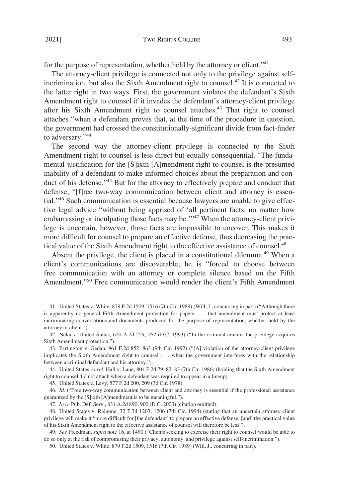for the purpose of representation, whether held by the attorney or client."<sup>41</sup>

The attorney-client privilege is connected not only to the privilege against selfincrimination, but also the Sixth Amendment right to counsel.<sup>42</sup> It is connected to the latter right in two ways. First, the government violates the defendant's Sixth Amendment right to counsel if it invades the defendant's attorney-client privilege after his Sixth Amendment right to counsel attaches.<sup>43</sup> That right to counsel attaches "when a defendant proves that, at the time of the procedure in question, the government had crossed the constitutionally-significant divide from fact-finder to adversary."<sup>44</sup>

The second way the attorney-client privilege is connected to the Sixth Amendment right to counsel is less direct but equally consequential. "The fundamental justification for the [S]ixth [A]mendment right to counsel is the presumed inability of a defendant to make informed choices about the preparation and conduct of his defense."<sup>45</sup> But for the attorney to effectively prepare and conduct that defense, "[f]ree two-way communication between client and attorney is essential."46 Such communication is essential because lawyers are unable to give effective legal advice "without being apprised of 'all pertinent facts, no matter how embarrassing or inculpating those facts may be.<sup>''47</sup> When the attorney-client privilege is uncertain, however, those facts are impossible to uncover. This makes it more difficult for counsel to prepare an effective defense, thus decreasing the practical value of the Sixth Amendment right to the effective assistance of counsel.<sup>48</sup>

Absent the privilege, the client is placed in a constitutional dilemma.<sup>49</sup> When a client's communications are discoverable, he is "forced to choose between free communication with an attorney or complete silence based on the Fifth Amendment."50 Free communication would render the client's Fifth Amendment

45. United States v. Levy, 577 F.2d 200, 209 (3d Cir. 1978).

<sup>41.</sup> United States v. White, 879 F.2d 1509, 1516 (7th Cir. 1989) (Will, J., concurring in part) ("Although there is apparently no general Fifth Amendment protection for papers . . . that amendment must protect at least incriminating conversations and documents produced for the purpose of representation, whether held by the attorney or client.").

<sup>42.</sup> Neku v. United States, 620 A.2d 259, 262 (D.C. 1993) ("In the criminal context the privilege acquires Sixth Amendment protection.").

<sup>43.</sup> Partington v. Gedan, 961 F.2d 852, 863 (9th Cir. 1992) ("[A] violation of the attorney-client privilege implicates the Sixth Amendment right to counsel . . . when the government interferes with the relationship between a criminal defendant and his attorney.").

<sup>44.</sup> United States *ex rel.* Hall v. Lane, 804 F.2d 79, 82–83 (7th Cir. 1986) (holding that the Sixth Amendment right to counsel did not attach when a defendant was required to appear in a lineup).

<sup>46.</sup> *Id.* ("Free two-way communication between client and attorney is essential if the professional assistance guaranteed by the [S]ixth [A]mendment is to be meaningful.").

<sup>47.</sup> *In re* Pub. Def. Serv., 831 A.2d 890, 900 (D.C. 2003) (citation omitted).

<sup>48.</sup> United States v. Rainone, 32 F.3d 1203, 1206 (7th Cir. 1994) (stating that an uncertain attorney-client privilege will make it "more difficult for [the defendant] to prepare an effective defense; [and] the practical value of his Sixth Amendment right to the effective assistance of counsel will therefore be less").

<sup>49.</sup> *See* Freedman, *supra* note 16, at 1490 ("Clients seeking to exercise their right to counsel would be able to do so only at the risk of compromising their privacy, autonomy, and privilege against self-incrimination.").

<sup>50.</sup> United States v. White, 879 F.2d 1509, 1516 (7th Cir. 1989) (Will, J., concurring in part).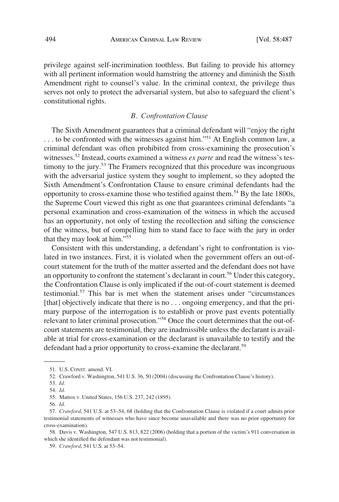<span id="page-7-0"></span>privilege against self-incrimination toothless. But failing to provide his attorney with all pertinent information would hamstring the attorney and diminish the Sixth Amendment right to counsel's value. In the criminal context, the privilege thus serves not only to protect the adversarial system, but also to safeguard the client's constitutional rights.

## *B. Confrontation Clause*

The Sixth Amendment guarantees that a criminal defendant will "enjoy the right ... to be confronted with the witnesses against him."<sup>51</sup> At English common law, a criminal defendant was often prohibited from cross-examining the prosecution's witnesses.<sup>52</sup> Instead, courts examined a witness *ex parte* and read the witness's testimony to the jury.<sup>53</sup> The Framers recognized that this procedure was incongruous with the adversarial justice system they sought to implement, so they adopted the Sixth Amendment's Confrontation Clause to ensure criminal defendants had the opportunity to cross-examine those who testified against them.<sup>54</sup> By the late 1800s, the Supreme Court viewed this right as one that guarantees criminal defendants "a personal examination and cross-examination of the witness in which the accused has an opportunity, not only of testing the recollection and sifting the conscience of the witness, but of compelling him to stand face to face with the jury in order that they may look at him."55

Consistent with this understanding, a defendant's right to confrontation is violated in two instances. First, it is violated when the government offers an out-ofcourt statement for the truth of the matter asserted and the defendant does not have an opportunity to confront the statement's declarant in court.<sup>56</sup> Under this category, the Confrontation Clause is only implicated if the out-of-court statement is deemed testimonial.57 This bar is met when the statement arises under "circumstances [that] objectively indicate that there is no . . . ongoing emergency, and that the primary purpose of the interrogation is to establish or prove past events potentially relevant to later criminal prosecution."58 Once the court determines that the out-ofcourt statements are testimonial, they are inadmissible unless the declarant is available at trial for cross-examination or the declarant is unavailable to testify and the defendant had a prior opportunity to cross-examine the declarant.<sup>59</sup>

58. Davis v. Washington, 547 U.S. 813, 822 (2006) (holding that a portion of the victim's 911 conversation in which she identified the defendant was not testimonial).

<sup>51.</sup> U.S. CONST. amend. VI.

<sup>52.</sup> Crawford v. Washington, 541 U.S. 36, 50 (2004) (discussing the Confrontation Clause's history).

<sup>53.</sup> *Id.* 

<sup>54.</sup> *Id.* 

<sup>55.</sup> Mattox v. United States, 156 U.S. 237, 242 (1895).

<sup>56.</sup> *Id.* 

<sup>57.</sup> *Crawford*, 541 U.S. at 53–54, 68 (holding that the Confrontation Clause is violated if a court admits prior testimonial statements of witnesses who have since become unavailable and there was no prior opportunity for cross-examination).

<sup>59.</sup> *Crawford*, 541 U.S. at 53–54.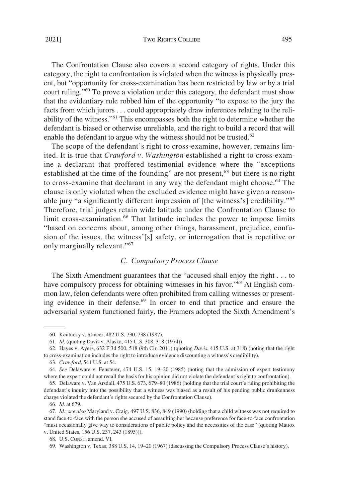### <span id="page-8-0"></span>2021] TWO RIGHTS COLLIDE 495

The Confrontation Clause also covers a second category of rights. Under this category, the right to confrontation is violated when the witness is physically present, but "opportunity for cross-examination has been restricted by law or by a trial court ruling."60 To prove a violation under this category, the defendant must show that the evidentiary rule robbed him of the opportunity "to expose to the jury the facts from which jurors . . . could appropriately draw inferences relating to the reliability of the witness."61 This encompasses both the right to determine whether the defendant is biased or otherwise unreliable, and the right to build a record that will enable the defendant to argue why the witness should not be trusted.<sup>62</sup>

The scope of the defendant's right to cross-examine, however, remains limited. It is true that *Crawford v. Washington* established a right to cross-examine a declarant that proffered testimonial evidence where the "exceptions established at the time of the founding" are not present,<sup>63</sup> but there is no right to cross-examine that declarant in any way the defendant might choose.<sup>64</sup> The clause is only violated when the excluded evidence might have given a reasonable jury "a significantly different impression of [the witness's] credibility."<sup>65</sup> Therefore, trial judges retain wide latitude under the Confrontation Clause to limit cross-examination.<sup>66</sup> That latitude includes the power to impose limits "based on concerns about, among other things, harassment, prejudice, confusion of the issues, the witness'[s] safety, or interrogation that is repetitive or only marginally relevant."<sup>67</sup>

### *C. Compulsory Process Clause*

The Sixth Amendment guarantees that the "accused shall enjoy the right . . . to have compulsory process for obtaining witnesses in his favor."<sup>68</sup> At English common law, felon defendants were often prohibited from calling witnesses or presenting evidence in their defense.<sup>69</sup> In order to end that practice and ensure the adversarial system functioned fairly, the Framers adopted the Sixth Amendment's

<sup>60.</sup> Kentucky v. Stincer, 482 U.S. 730, 738 (1987).

<sup>61.</sup> *Id.* (quoting Davis v. Alaska, 415 U.S. 308, 318 (1974)).

<sup>62.</sup> Hayes v. Ayers, 632 F.3d 500, 518 (9th Cir. 2011) (quoting *Davis*, 415 U.S. at 318) (noting that the right to cross-examination includes the right to introduce evidence discounting a witness's credibility).

<sup>63.</sup> *Crawford*, 541 U.S. at 54.

<sup>64.</sup> *See* Delaware v. Fensterer, 474 U.S. 15, 19–20 (1985) (noting that the admission of expert testimony where the expert could not recall the basis for his opinion did not violate the defendant's right to confrontation).

<sup>65.</sup> Delaware v. Van Arsdall, 475 U.S. 673, 679–80 (1986) (holding that the trial court's ruling prohibiting the defendant's inquiry into the possibility that a witness was biased as a result of his pending public drunkenness charge violated the defendant's rights secured by the Confrontation Clause).

<sup>66.</sup> *Id.* at 679.

<sup>67.</sup> *Id.*; *see also* Maryland v. Craig, 497 U.S. 836, 849 (1990) (holding that a child witness was not required to stand face-to-face with the person she accused of assaulting her because preference for face-to-face confrontation "must occasionally give way to considerations of public policy and the necessities of the case" (quoting Mattox v. United States, 156 U.S. 237, 243 (1895))).

<sup>68.</sup> U.S. CONST. amend. VI.

<sup>69.</sup> Washington v. Texas, 388 U.S. 14, 19–20 (1967) (discussing the Compulsory Process Clause's history).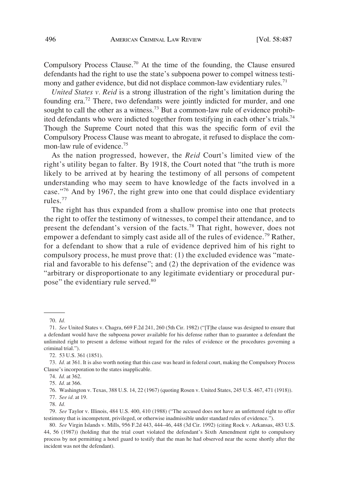Compulsory Process Clause.70 At the time of the founding, the Clause ensured defendants had the right to use the state's subpoena power to compel witness testimony and gather evidence, but did not displace common-law evidentiary rules.<sup>71</sup>

*United States v. Reid* is a strong illustration of the right's limitation during the founding era.<sup>72</sup> There, two defendants were jointly indicted for murder, and one sought to call the other as a witness.<sup>73</sup> But a common-law rule of evidence prohibited defendants who were indicted together from testifying in each other's trials.<sup>74</sup> Though the Supreme Court noted that this was the specific form of evil the Compulsory Process Clause was meant to abrogate, it refused to displace the common-law rule of evidence.<sup>75</sup>

As the nation progressed, however, the *Reid* Court's limited view of the right's utility began to falter. By 1918, the Court noted that "the truth is more likely to be arrived at by hearing the testimony of all persons of competent understanding who may seem to have knowledge of the facts involved in a case."76 And by 1967, the right grew into one that could displace evidentiary rules.<sup>77</sup>

The right has thus expanded from a shallow promise into one that protects the right to offer the testimony of witnesses, to compel their attendance, and to present the defendant's version of the facts.78 That right, however, does not empower a defendant to simply cast aside all of the rules of evidence.<sup>79</sup> Rather, for a defendant to show that a rule of evidence deprived him of his right to compulsory process, he must prove that: (1) the excluded evidence was "material and favorable to his defense"; and (2) the deprivation of the evidence was "arbitrary or disproportionate to any legitimate evidentiary or procedural purpose" the evidentiary rule served.<sup>80</sup>

<sup>70.</sup> *Id.* 

<sup>71.</sup> *See* United States v. Chagra, 669 F.2d 241, 260 (5th Cir. 1982) ("[T]he clause was designed to ensure that a defendant would have the subpoena power available for his defense rather than to guarantee a defendant the unlimited right to present a defense without regard for the rules of evidence or the procedures governing a criminal trial.").

<sup>72. 53</sup> U.S. 361 (1851).

<sup>73.</sup> *Id.* at 361. It is also worth noting that this case was heard in federal court, making the Compulsory Process Clause's incorporation to the states inapplicable.

<sup>74.</sup> *Id.* at 362.

<sup>75.</sup> *Id.* at 366.

<sup>76.</sup> Washington v. Texas, 388 U.S. 14, 22 (1967) (quoting Rosen v. United States, 245 U.S. 467, 471 (1918)).

<sup>77.</sup> *See id.* at 19.

<sup>78.</sup> *Id.* 

<sup>79.</sup> *See* Taylor v. Illinois, 484 U.S. 400, 410 (1988) ("The accused does not have an unfettered right to offer testimony that is incompetent, privileged, or otherwise inadmissible under standard rules of evidence.").

<sup>80.</sup> *See* Virgin Islands v. Mills, 956 F.2d 443, 444–46, 448 (3d Cir. 1992) (citing Rock v. Arkansas, 483 U.S. 44, 56 (1987)) (holding that the trial court violated the defendant's Sixth Amendment right to compulsory process by not permitting a hotel guard to testify that the man he had observed near the scene shortly after the incident was not the defendant).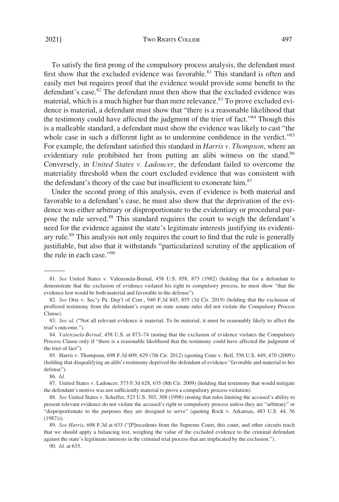To satisfy the first prong of the compulsory process analysis, the defendant must first show that the excluded evidence was favorable.<sup>81</sup> This standard is often and easily met but requires proof that the evidence would provide some benefit to the defendant's case.<sup>82</sup> The defendant must then show that the excluded evidence was material, which is a much higher bar than mere relevance.<sup>83</sup> To prove excluded evidence is material, a defendant must show that "there is a reasonable likelihood that the testimony could have affected the judgment of the trier of fact."84 Though this is a malleable standard, a defendant must show the evidence was likely to cast "the whole case in such a different light as to undermine confidence in the verdict."<sup>85</sup> For example, the defendant satisfied this standard in *Harris v. Thompson*, where an evidentiary rule prohibited her from putting an alibi witness on the stand.<sup>86</sup> Conversely, in *United States v. Ladoucer*, the defendant failed to overcome the materiality threshold when the court excluded evidence that was consistent with the defendant's theory of the case but insufficient to exonerate him.<sup>87</sup>

Under the second prong of this analysis, even if evidence is both material and favorable to a defendant's case, he must also show that the deprivation of the evidence was either arbitrary or disproportionate to the evidentiary or procedural purpose the rule served.88 This standard requires the court to weigh the defendant's need for the evidence against the state's legitimate interests justifying its evidentiary rule.<sup>89</sup> This analysis not only requires the court to find that the rule is generally justifiable, but also that it withstands "particularized scrutiny of the application of the rule in each case."90

<sup>81.</sup> *See* United States v. Valenzuela-Bernal, 458 U.S. 858, 873 (1982) (holding that for a defendant to demonstrate that the exclusion of evidence violated his right to compulsory process, he must show "that the evidence lost would be both material and favorable to the defense").

<sup>82.</sup> *See* Orie v. Sec'y Pa. Dep't of Corr., 940 F.3d 845, 855 (3d Cir. 2019) (holding that the exclusion of proffered testimony from the defendant's expert on state senate rules did not violate the Compulsory Process Clause).

<sup>83.</sup> See id. ("Not all relevant evidence is material. To be material, it must be reasonably likely to affect the trial's outcome.").

<sup>84.</sup> *Valenzuela-Bernal*, 458 U.S. at 873–74 (noting that the exclusion of evidence violates the Compulsory Process Clause only if "there is a reasonable likelihood that the testimony could have affected the judgment of the trier of fact").

<sup>85.</sup> Harris v. Thompson, 698 F.3d 609, 629 (7th Cir. 2012) (quoting Cone v. Bell, 556 U.S. 449, 470 (2009)) (holding that disqualifying an alibi's testimony deprived the defendant of evidence "favorable and material to her defense").

<sup>86.</sup> *Id.* 

<sup>87.</sup> United States v. Ladoucer, 573 F.3d 628, 635 (8th Cir. 2009) (holding that testimony that would mitigate the defendant's motive was not sufficiently material to prove a compulsory process violation).

<sup>88.</sup> *See* United States v. Scheffer, 523 U.S. 303, 308 (1998) (noting that rules limiting the accused's ability to present relevant evidence do not violate the accused's right to compulsory process unless they are "arbitrary" or "disproportionate to the purposes they are designed to serve" (quoting Rock v. Arkansas, 483 U.S. 44, 56 (1987))).

<sup>89.</sup> *See Harris*, 698 F.3d at 633 ("[P]recedents from the Supreme Court, this court, and other circuits teach that we should apply a balancing test, weighing the value of the excluded evidence to the criminal defendant against the state's legitimate interests in the criminal trial process that are implicated by the exclusion.").

<sup>90.</sup> *Id.* at 635.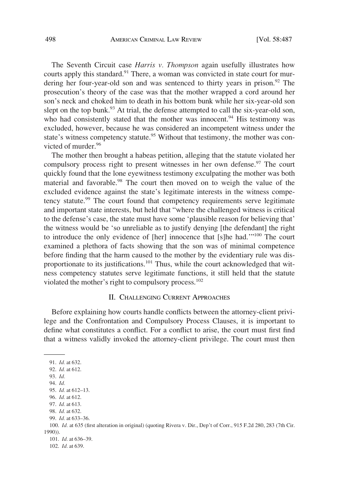<span id="page-11-0"></span>The Seventh Circuit case *Harris v. Thompson* again usefully illustrates how courts apply this standard.<sup>91</sup> There, a woman was convicted in state court for murdering her four-year-old son and was sentenced to thirty years in prison.<sup>92</sup> The prosecution's theory of the case was that the mother wrapped a cord around her son's neck and choked him to death in his bottom bunk while her six-year-old son slept on the top bunk.<sup>93</sup> At trial, the defense attempted to call the six-year-old son, who had consistently stated that the mother was innocent.<sup>94</sup> His testimony was excluded, however, because he was considered an incompetent witness under the state's witness competency statute.<sup>95</sup> Without that testimony, the mother was convicted of murder.<sup>96</sup>

The mother then brought a habeas petition, alleging that the statute violated her compulsory process right to present witnesses in her own defense. $97$  The court quickly found that the lone eyewitness testimony exculpating the mother was both material and favorable.<sup>98</sup> The court then moved on to weigh the value of the excluded evidence against the state's legitimate interests in the witness competency statute.<sup>99</sup> The court found that competency requirements serve legitimate and important state interests, but held that "where the challenged witness is critical to the defense's case, the state must have some 'plausible reason for believing that' the witness would be 'so unreliable as to justify denying [the defendant] the right to introduce the only evidence of [her] innocence that [s]he had.'"100 The court examined a plethora of facts showing that the son was of minimal competence before finding that the harm caused to the mother by the evidentiary rule was disproportionate to its justifications.<sup>101</sup> Thus, while the court acknowledged that witness competency statutes serve legitimate functions, it still held that the statute violated the mother's right to compulsory process.<sup>102</sup>

## II. CHALLENGING CURRENT APPROACHES

Before explaining how courts handle conflicts between the attorney-client privilege and the Confrontation and Compulsory Process Clauses, it is important to define what constitutes a conflict. For a conflict to arise, the court must first find that a witness validly invoked the attorney-client privilege. The court must then

91. *Id.* at 632. 92. *Id.* at 612. 93. *Id.*  94. *Id.*  95. *Id.* at 612–13. 96. *Id.* at 612. 97. *Id.* at 613. 98. *Id.* at 632. 99. *Id.* at 633–36. 100. *Id.* at 635 (first alteration in original) (quoting Rivera v. Dir., Dep't of Corr., 915 F.2d 280, 283 (7th Cir. 1990)). 101. *Id.* at 636–39. 102. *Id.* at 639.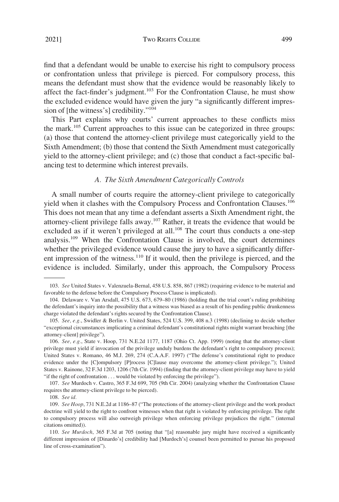<span id="page-12-0"></span>find that a defendant would be unable to exercise his right to compulsory process or confrontation unless that privilege is pierced. For compulsory process, this means the defendant must show that the evidence would be reasonably likely to affect the fact-finder's judgment.<sup>103</sup> For the Confrontation Clause, he must show the excluded evidence would have given the jury "a significantly different impression of [the witness's] credibility."<sup>104</sup>

This Part explains why courts' current approaches to these conflicts miss the mark.105 Current approaches to this issue can be categorized in three groups: (a) those that contend the attorney-client privilege must categorically yield to the Sixth Amendment; (b) those that contend the Sixth Amendment must categorically yield to the attorney-client privilege; and (c) those that conduct a fact-specific balancing test to determine which interest prevails.

## *A. The Sixth Amendment Categorically Controls*

A small number of courts require the attorney-client privilege to categorically yield when it clashes with the Compulsory Process and Confrontation Clauses.<sup>106</sup> This does not mean that any time a defendant asserts a Sixth Amendment right, the attorney-client privilege falls away.107 Rather, it treats the evidence that would be excluded as if it weren't privileged at all.<sup>108</sup> The court thus conducts a one-step analysis.109 When the Confrontation Clause is involved, the court determines whether the privileged evidence would cause the jury to have a significantly different impression of the witness. $110$  If it would, then the privilege is pierced, and the evidence is included. Similarly, under this approach, the Compulsory Process

<sup>103.</sup> *See* United States v. Valenzuela-Bernal, 458 U.S. 858, 867 (1982) (requiring evidence to be material and favorable to the defense before the Compulsory Process Clause is implicated).

<sup>104.</sup> Delaware v. Van Arsdall, 475 U.S. 673, 679–80 (1986) (holding that the trial court's ruling prohibiting the defendant's inquiry into the possibility that a witness was biased as a result of his pending public drunkenness charge violated the defendant's rights secured by the Confrontation Clause).

<sup>105.</sup> *See, e.g.*, Swidler & Berlin v. United States, 524 U.S. 399, 408 n.3 (1998) (declining to decide whether "exceptional circumstances implicating a criminal defendant's constitutional rights might warrant breaching [the attorney-client] privilege").

<sup>106.</sup> *See, e.g.*, State v. Hoop, 731 N.E.2d 1177, 1187 (Ohio Ct. App. 1999) (noting that the attorney-client privilege must yield if invocation of the privilege unduly burdens the defendant's right to compulsory process); United States v. Romano, 46 M.J. 269, 274 (C.A.A.F. 1997) ("The defense's constitutional right to produce evidence under the [C]ompulsory [P]rocess [C]lause may overcome the attorney-client privilege."); United States v. Rainone, 32 F.3d 1203, 1206 (7th Cir. 1994) (finding that the attorney-client privilege may have to yield "if the right of confrontation . . . would be violated by enforcing the privilege").

<sup>107.</sup> *See* Murdoch v. Castro, 365 F.3d 699, 705 (9th Cir. 2004) (analyzing whether the Confrontation Clause requires the attorney-client privilege to be pierced).

<sup>108.</sup> *See id.* 

<sup>109.</sup> *See Hoop*, 731 N.E.2d at 1186–87 ("The protections of the attorney-client privilege and the work product doctrine will yield to the right to confront witnesses when that right is violated by enforcing privilege. The right to compulsory process will also outweigh privilege when enforcing privilege prejudices the right." (internal citations omitted)).

<sup>110.</sup> *See Murdoch*, 365 F.3d at 705 (noting that "[a] reasonable jury might have received a significantly different impression of [Dinardo's] credibility had [Murdoch's] counsel been permitted to pursue his proposed line of cross-examination").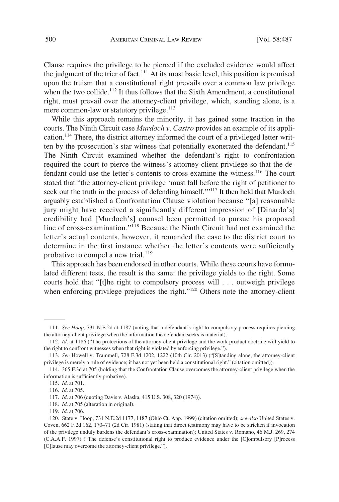Clause requires the privilege to be pierced if the excluded evidence would affect the judgment of the trier of fact.<sup>111</sup> At its most basic level, this position is premised upon the truism that a constitutional right prevails over a common law privilege when the two collide.<sup>112</sup> It thus follows that the Sixth Amendment, a constitutional right, must prevail over the attorney-client privilege, which, standing alone, is a mere common-law or statutory privilege. $113$ 

While this approach remains the minority, it has gained some traction in the courts. The Ninth Circuit case *Murdoch v. Castro* provides an example of its application.<sup>114</sup> There, the district attorney informed the court of a privileged letter written by the prosecution's star witness that potentially exonerated the defendant.<sup>115</sup> The Ninth Circuit examined whether the defendant's right to confrontation required the court to pierce the witness's attorney-client privilege so that the defendant could use the letter's contents to cross-examine the witness.<sup>116</sup> The court stated that "the attorney-client privilege 'must fall before the right of petitioner to seek out the truth in the process of defending himself."<sup>117</sup> It then held that Murdoch arguably established a Confrontation Clause violation because "[a] reasonable jury might have received a significantly different impression of [Dinardo's] credibility had [Murdoch's] counsel been permitted to pursue his proposed line of cross-examination."118 Because the Ninth Circuit had not examined the letter's actual contents, however, it remanded the case to the district court to determine in the first instance whether the letter's contents were sufficiently probative to compel a new trial. $119$ 

This approach has been endorsed in other courts. While these courts have formulated different tests, the result is the same: the privilege yields to the right. Some courts hold that "[t]he right to compulsory process will . . . outweigh privilege when enforcing privilege prejudices the right."<sup>120</sup> Others note the attorney-client

<sup>111.</sup> *See Hoop*, 731 N.E.2d at 1187 (noting that a defendant's right to compulsory process requires piercing the attorney-client privilege when the information the defendant seeks is material).

<sup>112.</sup> *Id.* at 1186 ("The protections of the attorney-client privilege and the work product doctrine will yield to the right to confront witnesses when that right is violated by enforcing privilege.").

<sup>113.</sup> *See* Howell v. Trammell, 728 F.3d 1202, 1222 (10th Cir. 2013) ("[S]tanding alone, the attorney-client privilege is merely a rule of evidence; it has not yet been held a constitutional right." (citation omitted)).

<sup>114. 365</sup> F.3d at 705 (holding that the Confrontation Clause overcomes the attorney-client privilege when the information is sufficiently probative).

<sup>115.</sup> *Id.* at 701.

<sup>116.</sup> *Id.* at 705.

<sup>117.</sup> *Id.* at 706 (quoting Davis v. Alaska, 415 U.S. 308, 320 (1974)).

<sup>118.</sup> *Id.* at 705 (alteration in original).

<sup>119.</sup> *Id.* at 706.

<sup>120.</sup> State v. Hoop, 731 N.E.2d 1177, 1187 (Ohio Ct. App. 1999) (citation omitted); *see also* United States v. Coven, 662 F.2d 162, 170–71 (2d Cir. 1981) (stating that direct testimony may have to be stricken if invocation of the privilege unduly burdens the defendant's cross-examination); United States v. Romano, 46 M.J. 269, 274 (C.A.A.F. 1997) ("The defense's constitutional right to produce evidence under the [C]ompulsory [P]rocess [C]lause may overcome the attorney-client privilege.").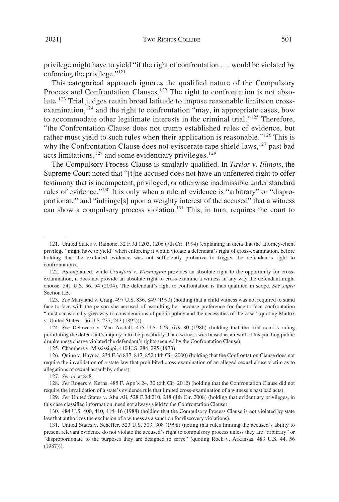privilege might have to yield "if the right of confrontation . . . would be violated by enforcing the privilege."<sup>121</sup>

This categorical approach ignores the qualified nature of the Compulsory Process and Confrontation Clauses.<sup>122</sup> The right to confrontation is not absolute.123 Trial judges retain broad latitude to impose reasonable limits on crossexamination,  $124$  and the right to confrontation "may, in appropriate cases, bow to accommodate other legitimate interests in the criminal trial."125 Therefore, "the Confrontation Clause does not trump established rules of evidence, but rather must yield to such rules when their application is reasonable."<sup>126</sup> This is why the Confrontation Clause does not eviscerate rape shield laws,  $127$  past bad acts limitations,  $128$  and some evidentiary privileges.  $129$ 

The Compulsory Process Clause is similarly qualified. In *Taylor v. Illinois*, the Supreme Court noted that "[t]he accused does not have an unfettered right to offer testimony that is incompetent, privileged, or otherwise inadmissible under standard rules of evidence."<sup>130</sup> It is only when a rule of evidence is "arbitrary" or "disproportionate" and "infringe[s] upon a weighty interest of the accused" that a witness can show a compulsory process violation.<sup>131</sup> This, in turn, requires the court to

124. *See* Delaware v. Van Arsdall, 475 U.S. 673, 679–80 (1986) (holding that the trial court's ruling prohibiting the defendant's inquiry into the possibility that a witness was biased as a result of his pending public drunkenness charge violated the defendant's rights secured by the Confrontation Clause).

125. Chambers v. Mississippi, 410 U.S. 284, 295 (1973).

126. Quinn v. Haynes, 234 F.3d 837, 847, 852 (4th Cir. 2000) (holding that the Confrontation Clause does not require the invalidation of a state law that prohibited cross-examination of an alleged sexual abuse victim as to allegations of sexual assault by others).

127. *See id.* at 848.

128. *See* Rogers v. Kerns, 485 F. App'x 24, 30 (6th Cir. 2012) (holding that the Confrontation Clause did not require the invalidation of a state's evidence rule that limited cross-examination of a witness's past bad acts).

129. *See* United States v. Abu Ali, 528 F.3d 210, 248 (4th Cir. 2008) (holding that evidentiary privileges, in this case classified information, need not always yield to the Confrontation Clause).

130. 484 U.S. 400, 410, 414–16 (1988) (holding that the Compulsory Process Clause is not violated by state law that authorizes the exclusion of a witness as a sanction for discovery violations).

131. United States v. Scheffer, 523 U.S. 303, 308 (1998) (noting that rules limiting the accused's ability to present relevant evidence do not violate the accused's right to compulsory process unless they are "arbitrary" or "disproportionate to the purposes they are designed to serve" (quoting Rock v. Arkansas, 483 U.S. 44, 56 (1987))).

<sup>121.</sup> United States v. Rainone, 32 F.3d 1203, 1206 (7th Cir. 1994) (explaining in dicta that the attorney-client privilege "might have to yield" when enforcing it would violate a defendant's right of cross-examination, before holding that the excluded evidence was not sufficiently probative to trigger the defendant's right to confrontation).

<sup>122.</sup> As explained, while *Crawford v. Washington* provides an absolute right to the opportunity for crossexamination, it does not provide an absolute right to cross-examine a witness in any way the defendant might choose. 541 U.S. 36, 54 (2004). The defendant's right to confrontation is thus qualified in scope. *See supra*  Section I.B.

<sup>123.</sup> *See* Maryland v. Craig, 497 U.S. 836, 849 (1990) (holding that a child witness was not required to stand face-to-face with the person she accused of assaulting her because preference for face-to-face confrontation "must occasionally give way to considerations of public policy and the necessities of the case" (quoting Mattox v. United States, 156 U.S. 237, 243 (1895))).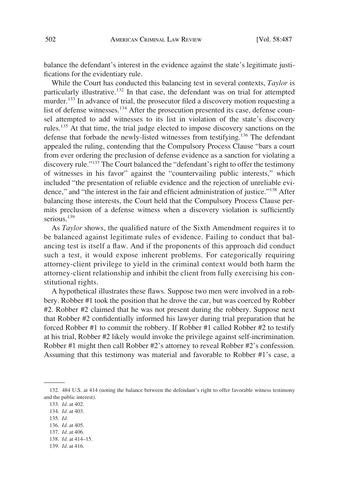balance the defendant's interest in the evidence against the state's legitimate justifications for the evidentiary rule.

While the Court has conducted this balancing test in several contexts, *Taylor* is particularly illustrative.<sup>132</sup> In that case, the defendant was on trial for attempted murder.133 In advance of trial, the prosecutor filed a discovery motion requesting a list of defense witnesses.<sup>134</sup> After the prosecution presented its case, defense counsel attempted to add witnesses to its list in violation of the state's discovery rules.135 At that time, the trial judge elected to impose discovery sanctions on the defense that forbade the newly-listed witnesses from testifying.<sup>136</sup> The defendant appealed the ruling, contending that the Compulsory Process Clause "bars a court from ever ordering the preclusion of defense evidence as a sanction for violating a discovery rule."137 The Court balanced the "defendant's right to offer the testimony of witnesses in his favor" against the "countervailing public interests," which included "the presentation of reliable evidence and the rejection of unreliable evidence," and "the interest in the fair and efficient administration of justice."138 After balancing those interests, the Court held that the Compulsory Process Clause permits preclusion of a defense witness when a discovery violation is sufficiently serious.<sup>139</sup>

As *Taylor* shows, the qualified nature of the Sixth Amendment requires it to be balanced against legitimate rules of evidence. Failing to conduct that balancing test is itself a flaw. And if the proponents of this approach did conduct such a test, it would expose inherent problems. For categorically requiring attorney-client privilege to yield in the criminal context would both harm the attorney-client relationship and inhibit the client from fully exercising his constitutional rights.

A hypothetical illustrates these flaws. Suppose two men were involved in a robbery. Robber #1 took the position that he drove the car, but was coerced by Robber #2. Robber #2 claimed that he was not present during the robbery. Suppose next that Robber #2 confidentially informed his lawyer during trial preparation that he forced Robber #1 to commit the robbery. If Robber #1 called Robber #2 to testify at his trial, Robber #2 likely would invoke the privilege against self-incrimination. Robber #1 might then call Robber #2's attorney to reveal Robber #2's confession. Assuming that this testimony was material and favorable to Robber #1's case, a

135. *Id.* 

139. *Id.* at 416.

<sup>132. 484</sup> U.S. at 414 (noting the balance between the defendant's right to offer favorable witness testimony and the public interest).

<sup>133.</sup> *Id.* at 402.

<sup>134.</sup> *Id.* at 403.

<sup>136.</sup> *Id.* at 405.

<sup>137.</sup> *Id.* at 406.

<sup>138.</sup> *Id.* at 414–15.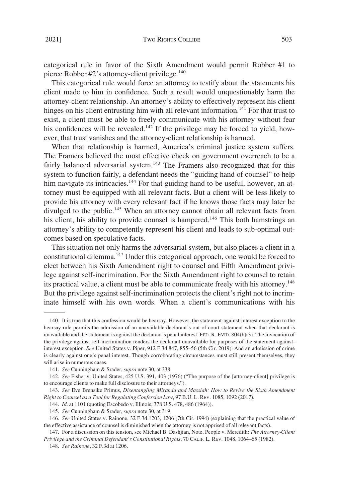categorical rule in favor of the Sixth Amendment would permit Robber #1 to pierce Robber #2's attorney-client privilege.<sup>140</sup>

This categorical rule would force an attorney to testify about the statements his client made to him in confidence. Such a result would unquestionably harm the attorney-client relationship. An attorney's ability to effectively represent his client hinges on his client entrusting him with all relevant information.<sup>141</sup> For that trust to exist, a client must be able to freely communicate with his attorney without fear his confidences will be revealed.<sup>142</sup> If the privilege may be forced to yield, however, that trust vanishes and the attorney-client relationship is harmed.

When that relationship is harmed, America's criminal justice system suffers. The Framers believed the most effective check on government overreach to be a fairly balanced adversarial system.<sup>143</sup> The Framers also recognized that for this system to function fairly, a defendant needs the "guiding hand of counsel" to help him navigate its intricacies.<sup>144</sup> For that guiding hand to be useful, however, an attorney must be equipped with all relevant facts. But a client will be less likely to provide his attorney with every relevant fact if he knows those facts may later be divulged to the public.<sup>145</sup> When an attorney cannot obtain all relevant facts from his client, his ability to provide counsel is hampered.<sup>146</sup> This both hamstrings an attorney's ability to competently represent his client and leads to sub-optimal outcomes based on speculative facts.

This situation not only harms the adversarial system, but also places a client in a constitutional dilemma.147 Under this categorical approach, one would be forced to elect between his Sixth Amendment right to counsel and Fifth Amendment privilege against self-incrimination. For the Sixth Amendment right to counsel to retain its practical value, a client must be able to communicate freely with his attorney.<sup>148</sup> But the privilege against self-incrimination protects the client's right not to incriminate himself with his own words. When a client's communications with his

<sup>140.</sup> It is true that this confession would be hearsay. However, the statement-against-interest exception to the hearsay rule permits the admission of an unavailable declarant's out-of-court statement when that declarant is unavailable and the statement is against the declarant's penal interest. FED. R. EVID. 804(b)(3). The invocation of the privilege against self-incrimination renders the declarant unavailable for purposes of the statement-againstinterest exception. *See* United States v. Piper, 912 F.3d 847, 855–56 (5th Cir. 2019). And an admission of crime is clearly against one's penal interest. Though corroborating circumstances must still present themselves, they will arise in numerous cases.

<sup>141.</sup> *See* Cunningham & Srader, *supra* note 30, at 338.

<sup>142.</sup> *See* Fisher v. United States, 425 U.S. 391, 403 (1976) ("The purpose of the [attorney-client] privilege is to encourage clients to make full disclosure to their attorneys.").

<sup>143.</sup> *See* Eve Brensike Primus, *Disentangling Miranda and Massiah: How to Revive the Sixth Amendment Right to Counsel as a Tool for Regulating Confession Law*, 97 B.U. L. REV. 1085, 1092 (2017).

<sup>144.</sup> *Id.* at 1101 (quoting Escobedo v. Illinois, 378 U.S. 478, 486 (1964)).

<sup>145.</sup> *See* Cunningham & Srader, *supra* note 30, at 319.

<sup>146.</sup> *See* United States v. Rainone, 32 F.3d 1203, 1206 (7th Cir. 1994) (explaining that the practical value of the effective assistance of counsel is diminished when the attorney is not apprised of all relevant facts).

<sup>147.</sup> For a discussion on this tension, see Michael B. Dashjian, Note, People v. Meredith: *The Attorney-Client Privilege and the Criminal Defendant's Constitutional Rights*, 70 CALIF. L. REV. 1048, 1064–65 (1982).

<sup>148.</sup> *See Rainone*, 32 F.3d at 1206.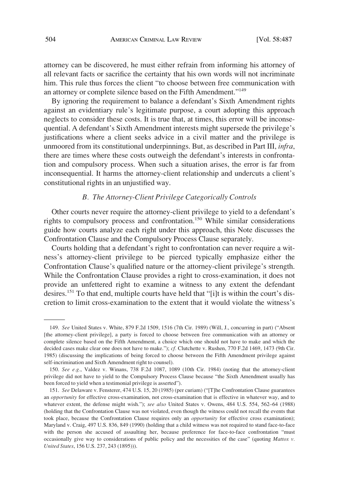<span id="page-17-0"></span>attorney can be discovered, he must either refrain from informing his attorney of all relevant facts or sacrifice the certainty that his own words will not incriminate him. This rule thus forces the client "to choose between free communication with an attorney or complete silence based on the Fifth Amendment."<sup>149</sup>

By ignoring the requirement to balance a defendant's Sixth Amendment rights against an evidentiary rule's legitimate purpose, a court adopting this approach neglects to consider these costs. It is true that, at times, this error will be inconsequential. A defendant's Sixth Amendment interests might supersede the privilege's justifications where a client seeks advice in a civil matter and the privilege is unmoored from its constitutional underpinnings. But, as described in Part III, *infra*, there are times where these costs outweigh the defendant's interests in confrontation and compulsory process. When such a situation arises, the error is far from inconsequential. It harms the attorney-client relationship and undercuts a client's constitutional rights in an unjustified way.

# *B. The Attorney-Client Privilege Categorically Controls*

Other courts never require the attorney-client privilege to yield to a defendant's rights to compulsory process and confrontation.<sup>150</sup> While similar considerations guide how courts analyze each right under this approach, this Note discusses the Confrontation Clause and the Compulsory Process Clause separately.

Courts holding that a defendant's right to confrontation can never require a witness's attorney-client privilege to be pierced typically emphasize either the Confrontation Clause's qualified nature or the attorney-client privilege's strength. While the Confrontation Clause provides a right to cross-examination, it does not provide an unfettered right to examine a witness to any extent the defendant desires.151 To that end, multiple courts have held that "[i]t is within the court's discretion to limit cross-examination to the extent that it would violate the witness's

<sup>149.</sup> *See* United States v. White, 879 F.2d 1509, 1516 (7th Cir. 1989) (Will, J., concurring in part) ("Absent [the attorney-client privilege], a party is forced to choose between free communication with an attorney or complete silence based on the Fifth Amendment, a choice which one should not have to make and which the decided cases make clear one does not have to make."); *cf.* Clutchette v. Rushen, 770 F.2d 1469, 1473 (9th Cir. 1985) (discussing the implications of being forced to choose between the Fifth Amendment privilege against self-incrimination and Sixth Amendment right to counsel).

<sup>150.</sup> *See e.g.*, Valdez v. Winans, 738 F.2d 1087, 1089 (10th Cir. 1984) (noting that the attorney-client privilege did not have to yield to the Compulsory Process Clause because "the Sixth Amendment usually has been forced to yield when a testimonial privilege is asserted").

<sup>151.</sup> *See* Delaware v. Fensterer, 474 U.S. 15, 20 (1985) (per curiam) ("[T]he Confrontation Clause guarantees an *opportunity* for effective cross-examination, not cross-examination that is effective in whatever way, and to whatever extent, the defense might wish."); *see also* United States v. Owens, 484 U.S. 554, 562–64 (1988) (holding that the Confrontation Clause was not violated, even though the witness could not recall the events that took place, because the Confrontation Clause requires only an *opportunity* for effective cross examination); Maryland v. Craig, 497 U.S. 836, 849 (1990) (holding that a child witness was not required to stand face-to-face with the person she accused of assaulting her, because preference for face-to-face confrontation "must occasionally give way to considerations of public policy and the necessities of the case" (quoting *Mattox v. United States*, 156 U.S. 237, 243 (1895))).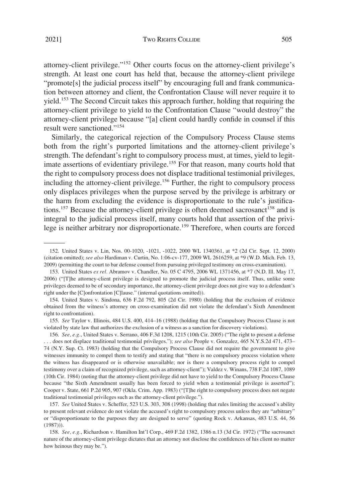attorney-client privilege."152 Other courts focus on the attorney-client privilege's strength. At least one court has held that, because the attorney-client privilege "promote[s] the judicial process itself" by encouraging full and frank communication between attorney and client, the Confrontation Clause will never require it to yield.<sup>153</sup> The Second Circuit takes this approach further, holding that requiring the attorney-client privilege to yield to the Confrontation Clause "would destroy" the attorney-client privilege because "[a] client could hardly confide in counsel if this result were sanctioned."<sup>154</sup>

Similarly, the categorical rejection of the Compulsory Process Clause stems both from the right's purported limitations and the attorney-client privilege's strength. The defendant's right to compulsory process must, at times, yield to legitimate assertions of evidentiary privilege.<sup>155</sup> For that reason, many courts hold that the right to compulsory process does not displace traditional testimonial privileges, including the attorney-client privilege.156 Further, the right to compulsory process only displaces privileges when the purpose served by the privilege is arbitrary or the harm from excluding the evidence is disproportionate to the rule's justifications.<sup>157</sup> Because the attorney-client privilege is often deemed sacrosanct<sup>158</sup> and is integral to the judicial process itself, many courts hold that assertion of the privilege is neither arbitrary nor disproportionate.159 Therefore, when courts are forced

155. *See* Taylor v. Illinois, 484 U.S. 400, 414–16 (1988) (holding that the Compulsory Process Clause is not violated by state law that authorizes the exclusion of a witness as a sanction for discovery violations).

<sup>152.</sup> United States v. Lin, Nos. 00-1020, -1021, -1022, 2000 WL 1340361, at \*2 (2d Cir. Sept. 12, 2000) (citation omitted); *see also* Hardiman v. Curtin, No. 1:06-cv-177, 2009 WL 2616259, at \*9 (W.D. Mich. Feb. 13, 2009) (permitting the court to bar defense counsel from pursuing privileged testimony on cross-examination).

<sup>153.</sup> United States *ex rel.* Abramov v. Chandler, No. 05 C 4795, 2006 WL 1371456, at \*7 (N.D. Ill. May 17, 2006) ("[T]he attorney-client privilege is designed to promote the judicial process itself. Thus, unlike some privileges deemed to be of secondary importance, the attorney-client privilege does not give way to a defendant's right under the [C]onfrontation [C]lause." (internal quotations omitted)).

<sup>154.</sup> United States v. Sindona, 636 F.2d 792, 805 (2d Cir. 1980) (holding that the exclusion of evidence obtained from the witness's attorney on cross-examination did not violate the defendant's Sixth Amendment right to confrontation).

<sup>156.</sup> *See, e.g.*, United States v. Serrano, 406 F.3d 1208, 1215 (10th Cir. 2005) ("The right to present a defense . . . does not displace traditional testimonial privileges."); *see also* People v. Gonzalez, 465 N.Y.S.2d 471, 473– 74 (N.Y. Sup. Ct. 1983) (holding that the Compulsory Process Clause did not require the government to give witnesses immunity to compel them to testify and stating that "there is no compulsory process violation where the witness has disappeared or is otherwise unavailable; nor is there a compulsory process right to compel testimony over a claim of recognized privilege, such as attorney-client"); Valdez v. Winans, 738 F.2d 1087, 1089 (10th Cir. 1984) (noting that the attorney-client privilege did not have to yield to the Compulsory Process Clause because "the Sixth Amendment usually has been forced to yield when a testimonial privilege is asserted"); Cooper v. State, 661 P.2d 905, 907 (Okla. Crim. App. 1983) ("[T]he right to compulsory process does not negate traditional testimonial privileges such as the attorney-client privilege.").

<sup>157.</sup> *See* United States v. Scheffer, 523 U.S. 303, 308 (1998) (holding that rules limiting the accused's ability to present relevant evidence do not violate the accused's right to compulsory process unless they are "arbitrary" or "disproportionate to the purposes they are designed to serve" (quoting Rock v. Arkansas, 483 U.S. 44, 56 (1987))).

<sup>158.</sup> *See, e.g.*, Richardson v. Hamilton Int'l Corp., 469 F.2d 1382, 1386 n.13 (3d Cir. 1972) ("The sacrosanct nature of the attorney-client privilege dictates that an attorney not disclose the confidences of his client no matter how heinous they may be.").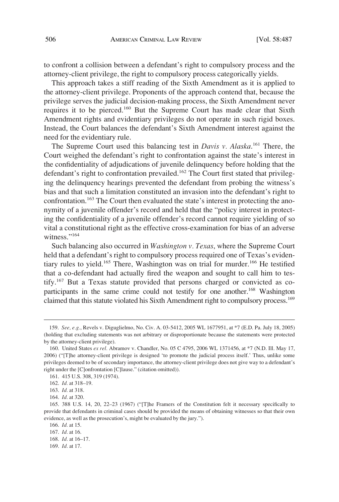to confront a collision between a defendant's right to compulsory process and the attorney-client privilege, the right to compulsory process categorically yields.

This approach takes a stiff reading of the Sixth Amendment as it is applied to the attorney-client privilege. Proponents of the approach contend that, because the privilege serves the judicial decision-making process, the Sixth Amendment never requires it to be pierced.160 But the Supreme Court has made clear that Sixth Amendment rights and evidentiary privileges do not operate in such rigid boxes. Instead, the Court balances the defendant's Sixth Amendment interest against the need for the evidentiary rule.

The Supreme Court used this balancing test in *Davis v. Alaska*. 161 There, the Court weighed the defendant's right to confrontation against the state's interest in the confidentiality of adjudications of juvenile delinquency before holding that the defendant's right to confrontation prevailed.<sup>162</sup> The Court first stated that privileging the delinquency hearings prevented the defendant from probing the witness's bias and that such a limitation constituted an invasion into the defendant's right to confrontation.<sup>163</sup> The Court then evaluated the state's interest in protecting the anonymity of a juvenile offender's record and held that the "policy interest in protecting the confidentiality of a juvenile offender's record cannot require yielding of so vital a constitutional right as the effective cross-examination for bias of an adverse witness."<sup>164</sup>

Such balancing also occurred in *Washington v. Texas*, where the Supreme Court held that a defendant's right to compulsory process required one of Texas's evidentiary rules to yield.<sup>165</sup> There, Washington was on trial for murder.<sup>166</sup> He testified that a co-defendant had actually fired the weapon and sought to call him to testify.167 But a Texas statute provided that persons charged or convicted as coparticipants in the same crime could not testify for one another.<sup>168</sup> Washington claimed that this statute violated his Sixth Amendment right to compulsory process.<sup>169</sup>

<sup>159.</sup> *See, e.g.*, Revels v. Diguglielmo, No. Civ. A. 03-5412, 2005 WL 1677951, at \*7 (E.D. Pa. July 18, 2005) (holding that excluding statements was not arbitrary or disproportionate because the statements were protected by the attorney-client privilege).

<sup>160.</sup> United States *ex rel.* Abramov v. Chandler, No. 05 C 4795, 2006 WL 1371456, at \*7 (N.D. Ill. May 17, 2006) ("[T]he attorney-client privilege is designed 'to promote the judicial process itself.' Thus, unlike some privileges deemed to be of secondary importance, the attorney-client privilege does not give way to a defendant's right under the [C]onfrontation [C]lause." (citation omitted)).

<sup>161. 415</sup> U.S. 308, 319 (1974).

<sup>162.</sup> *Id.* at 318–19.

<sup>163.</sup> *Id.* at 318.

<sup>164.</sup> *Id.* at 320.

<sup>165. 388</sup> U.S. 14, 20, 22–23 (1967) ("[T]he Framers of the Constitution felt it necessary specifically to provide that defendants in criminal cases should be provided the means of obtaining witnesses so that their own evidence, as well as the prosecution's, might be evaluated by the jury.").

<sup>166.</sup> *Id.* at 15.

<sup>167.</sup> *Id.* at 16.

<sup>168.</sup> *Id.* at 16–17.

<sup>169.</sup> *Id.* at 17.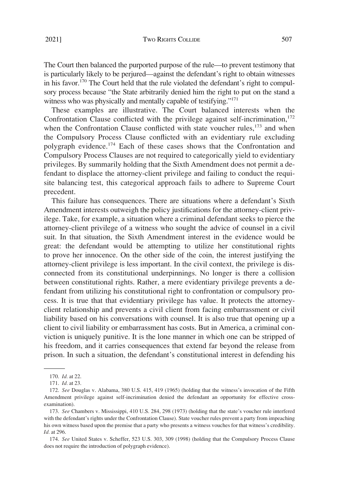The Court then balanced the purported purpose of the rule—to prevent testimony that is particularly likely to be perjured—against the defendant's right to obtain witnesses in his favor.<sup>170</sup> The Court held that the rule violated the defendant's right to compulsory process because "the State arbitrarily denied him the right to put on the stand a witness who was physically and mentally capable of testifying."<sup>171</sup>

These examples are illustrative. The Court balanced interests when the Confrontation Clause conflicted with the privilege against self-incrimination, $172$ when the Confrontation Clause conflicted with state voucher rules, $173$  and when the Compulsory Process Clause conflicted with an evidentiary rule excluding polygraph evidence.<sup>174</sup> Each of these cases shows that the Confrontation and Compulsory Process Clauses are not required to categorically yield to evidentiary privileges. By summarily holding that the Sixth Amendment does not permit a defendant to displace the attorney-client privilege and failing to conduct the requisite balancing test, this categorical approach fails to adhere to Supreme Court precedent.

This failure has consequences. There are situations where a defendant's Sixth Amendment interests outweigh the policy justifications for the attorney-client privilege. Take, for example, a situation where a criminal defendant seeks to pierce the attorney-client privilege of a witness who sought the advice of counsel in a civil suit. In that situation, the Sixth Amendment interest in the evidence would be great: the defendant would be attempting to utilize her constitutional rights to prove her innocence. On the other side of the coin, the interest justifying the attorney-client privilege is less important. In the civil context, the privilege is disconnected from its constitutional underpinnings. No longer is there a collision between constitutional rights. Rather, a mere evidentiary privilege prevents a defendant from utilizing his constitutional right to confrontation or compulsory process. It is true that that evidentiary privilege has value. It protects the attorneyclient relationship and prevents a civil client from facing embarrassment or civil liability based on his conversations with counsel. It is also true that opening up a client to civil liability or embarrassment has costs. But in America, a criminal conviction is uniquely punitive. It is the lone manner in which one can be stripped of his freedom, and it carries consequences that extend far beyond the release from prison. In such a situation, the defendant's constitutional interest in defending his

174. *See* United States v. Scheffer, 523 U.S. 303, 309 (1998) (holding that the Compulsory Process Clause does not require the introduction of polygraph evidence).

<sup>170.</sup> *Id.* at 22.

<sup>171.</sup> *Id.* at 23.

<sup>172.</sup> *See* Douglas v. Alabama, 380 U.S. 415, 419 (1965) (holding that the witness's invocation of the Fifth Amendment privilege against self-incrimination denied the defendant an opportunity for effective crossexamination).

<sup>173.</sup> *See* Chambers v. Mississippi, 410 U.S. 284, 298 (1973) (holding that the state's voucher rule interfered with the defendant's rights under the Confrontation Clause). State voucher rules prevent a party from impeaching his own witness based upon the premise that a party who presents a witness vouches for that witness's credibility. *Id.* at 296.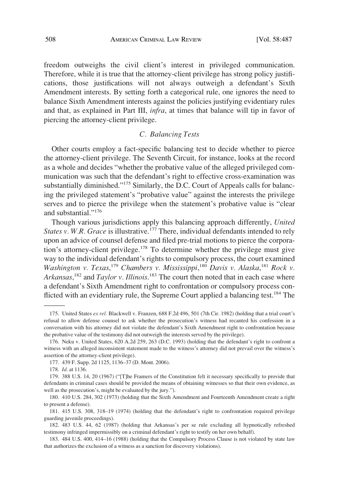<span id="page-21-0"></span>freedom outweighs the civil client's interest in privileged communication. Therefore, while it is true that the attorney-client privilege has strong policy justifications, those justifications will not always outweigh a defendant's Sixth Amendment interests. By setting forth a categorical rule, one ignores the need to balance Sixth Amendment interests against the policies justifying evidentiary rules and that, as explained in Part III, *infra*, at times that balance will tip in favor of piercing the attorney-client privilege.

# *C. Balancing Tests*

Other courts employ a fact-specific balancing test to decide whether to pierce the attorney-client privilege. The Seventh Circuit, for instance, looks at the record as a whole and decides "whether the probative value of the alleged privileged communication was such that the defendant's right to effective cross-examination was substantially diminished."<sup>175</sup> Similarly, the D.C. Court of Appeals calls for balancing the privileged statement's "probative value" against the interests the privilege serves and to pierce the privilege when the statement's probative value is "clear and substantial."<sup>176</sup>

Though various jurisdictions apply this balancing approach differently, *United States v. W.R. Grace* is illustrative.<sup>177</sup> There, individual defendants intended to rely upon an advice of counsel defense and filed pre-trial motions to pierce the corporation's attorney-client privilege.178 To determine whether the privilege must give way to the individual defendant's rights to compulsory process, the court examined Washington v. Texas,<sup>179</sup> Chambers v. Mississippi,<sup>180</sup> Davis v. Alaska,<sup>181</sup> Rock v. *Arkansas*, 182 and *Taylor v. Illinois*. 183 The court then noted that in each case where a defendant's Sixth Amendment right to confrontation or compulsory process conflicted with an evidentiary rule, the Supreme Court applied a balancing test.<sup>184</sup> The

<sup>175.</sup> United States *ex rel.* Blackwell v. Franzen, 688 F.2d 496, 501 (7th Cir. 1982) (holding that a trial court's refusal to allow defense counsel to ask whether the prosecution's witness had recanted his confession in a conversation with his attorney did not violate the defendant's Sixth Amendment right to confrontation because the probative value of the testimony did not outweigh the interests served by the privilege).

<sup>176.</sup> Neku v. United States, 620 A.2d 259, 263 (D.C. 1993) (holding that the defendant's right to confront a witness with an alleged inconsistent statement made to the witness's attorney did not prevail over the witness's assertion of the attorney-client privilege).

<sup>177. 439</sup> F. Supp. 2d 1125, 1136–37 (D. Mont. 2006).

<sup>178.</sup> *Id.* at 1136.

<sup>179. 388</sup> U.S. 14, 20 (1967) ("[T]he Framers of the Constitution felt it necessary specifically to provide that defendants in criminal cases should be provided the means of obtaining witnesses so that their own evidence, as well as the prosecution's, might be evaluated by the jury.").

<sup>180. 410</sup> U.S. 284, 302 (1973) (holding that the Sixth Amendment and Fourteenth Amendment create a right to present a defense).

<sup>181. 415</sup> U.S. 308, 318–19 (1974) (holding that the defendant's right to confrontation required privilege guarding juvenile proceedings).

<sup>182. 483</sup> U.S. 44, 62 (1987) (holding that Arkansas's per se rule excluding all hypnotically refreshed testimony infringed impermissibly on a criminal defendant's right to testify on her own behalf).

<sup>183. 484</sup> U.S. 400, 414–16 (1988) (holding that the Compulsory Process Clause is not violated by state law that authorizes the exclusion of a witness as a sanction for discovery violations).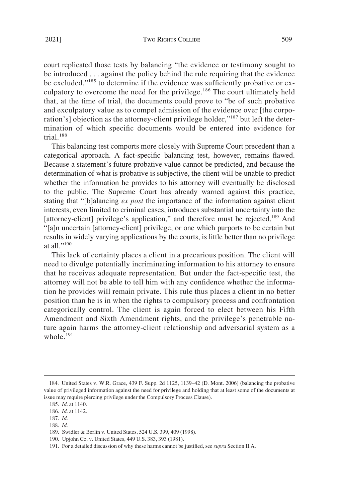court replicated those tests by balancing "the evidence or testimony sought to be introduced . . . against the policy behind the rule requiring that the evidence be excluded,"185 to determine if the evidence was sufficiently probative or exculpatory to overcome the need for the privilege.<sup>186</sup> The court ultimately held that, at the time of trial, the documents could prove to "be of such probative and exculpatory value as to compel admission of the evidence over [the corporation's] objection as the attorney-client privilege holder,"187 but left the determination of which specific documents would be entered into evidence for trial. $188$ 

This balancing test comports more closely with Supreme Court precedent than a categorical approach. A fact-specific balancing test, however, remains flawed. Because a statement's future probative value cannot be predicted, and because the determination of what is probative is subjective, the client will be unable to predict whether the information he provides to his attorney will eventually be disclosed to the public. The Supreme Court has already warned against this practice, stating that "[b]alancing *ex post* the importance of the information against client interests, even limited to criminal cases, introduces substantial uncertainty into the [attorney-client] privilege's application," and therefore must be rejected.<sup>189</sup> And "[a]n uncertain [attorney-client] privilege, or one which purports to be certain but results in widely varying applications by the courts, is little better than no privilege at all $"190$ 

This lack of certainty places a client in a precarious position. The client will need to divulge potentially incriminating information to his attorney to ensure that he receives adequate representation. But under the fact-specific test, the attorney will not be able to tell him with any confidence whether the information he provides will remain private. This rule thus places a client in no better position than he is in when the rights to compulsory process and confrontation categorically control. The client is again forced to elect between his Fifth Amendment and Sixth Amendment rights, and the privilege's penetrable nature again harms the attorney-client relationship and adversarial system as a whole. $191$ 

188. *Id.* 

<sup>184.</sup> United States v. W.R. Grace, 439 F. Supp. 2d 1125, 1139–42 (D. Mont. 2006) (balancing the probative value of privileged information against the need for privilege and holding that at least some of the documents at issue may require piercing privilege under the Compulsory Process Clause).

<sup>185.</sup> *Id.* at 1140.

<sup>186.</sup> *Id.* at 1142.

<sup>187.</sup> *Id.* 

<sup>189.</sup> Swidler & Berlin v. United States, 524 U.S. 399, 409 (1998).

<sup>190.</sup> Upjohn Co. v. United States, 449 U.S. 383, 393 (1981).

<sup>191.</sup> For a detailed discussion of why these harms cannot be justified, see *supra* Section II.A.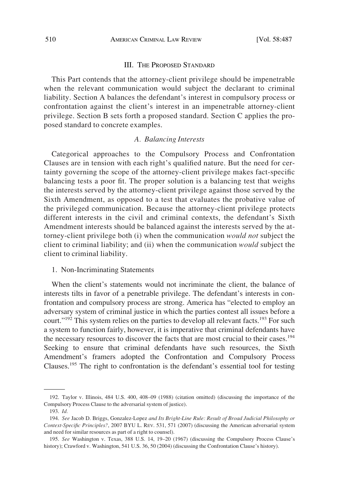### III. THE PROPOSED STANDARD

<span id="page-23-0"></span>This Part contends that the attorney-client privilege should be impenetrable when the relevant communication would subject the declarant to criminal liability. Section A balances the defendant's interest in compulsory process or confrontation against the client's interest in an impenetrable attorney-client privilege. Section B sets forth a proposed standard. Section C applies the proposed standard to concrete examples.

## *A. Balancing Interests*

Categorical approaches to the Compulsory Process and Confrontation Clauses are in tension with each right's qualified nature. But the need for certainty governing the scope of the attorney-client privilege makes fact-specific balancing tests a poor fit. The proper solution is a balancing test that weighs the interests served by the attorney-client privilege against those served by the Sixth Amendment, as opposed to a test that evaluates the probative value of the privileged communication. Because the attorney-client privilege protects different interests in the civil and criminal contexts, the defendant's Sixth Amendment interests should be balanced against the interests served by the attorney-client privilege both (i) when the communication *would not* subject the client to criminal liability; and (ii) when the communication *would* subject the client to criminal liability.

## 1. Non-Incriminating Statements

When the client's statements would not incriminate the client, the balance of interests tilts in favor of a penetrable privilege. The defendant's interests in confrontation and compulsory process are strong. America has "elected to employ an adversary system of criminal justice in which the parties contest all issues before a court." $192$  This system relies on the parties to develop all relevant facts.<sup>193</sup> For such a system to function fairly, however, it is imperative that criminal defendants have the necessary resources to discover the facts that are most crucial to their cases.<sup>194</sup> Seeking to ensure that criminal defendants have such resources, the Sixth Amendment's framers adopted the Confrontation and Compulsory Process Clauses.195 The right to confrontation is the defendant's essential tool for testing

<sup>192.</sup> Taylor v. Illinois, 484 U.S. 400, 408–09 (1988) (citation omitted) (discussing the importance of the Compulsory Process Clause to the adversarial system of justice).

<sup>193.</sup> *Id.* 

<sup>194.</sup> *See* Jacob D. Briggs, Gonzalez-Lopez *and Its Bright-Line Rule: Result of Broad Judicial Philosophy or Context-Specific Principles?*, 2007 BYU L. REV. 531, 571 (2007) (discussing the American adversarial system and need for similar resources as part of a right to counsel).

<sup>195.</sup> *See* Washington v. Texas, 388 U.S. 14, 19–20 (1967) (discussing the Compulsory Process Clause's history); Crawford v. Washington, 541 U.S. 36, 50 (2004) (discussing the Confrontation Clause's history).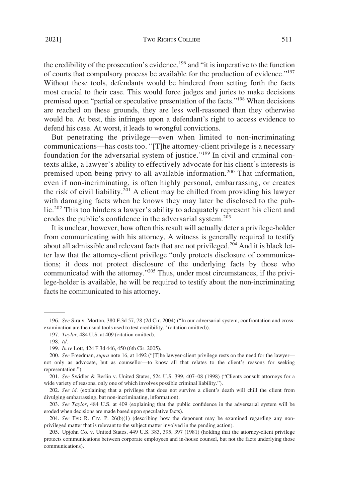the credibility of the prosecution's evidence,<sup>196</sup> and "it is imperative to the function of courts that compulsory process be available for the production of evidence."197 Without these tools, defendants would be hindered from setting forth the facts most crucial to their case. This would force judges and juries to make decisions premised upon "partial or speculative presentation of the facts."<sup>198</sup> When decisions are reached on these grounds, they are less well-reasoned than they otherwise would be. At best, this infringes upon a defendant's right to access evidence to defend his case. At worst, it leads to wrongful convictions.

But penetrating the privilege—even when limited to non-incriminating communications—has costs too. "[T]he attorney-client privilege is a necessary foundation for the adversarial system of justice."<sup>199</sup> In civil and criminal contexts alike, a lawyer's ability to effectively advocate for his client's interests is premised upon being privy to all available information.<sup>200</sup> That information, even if non-incriminating, is often highly personal, embarrassing, or creates the risk of civil liability.<sup>201</sup> A client may be chilled from providing his lawyer with damaging facts when he knows they may later be disclosed to the public.202 This too hinders a lawyer's ability to adequately represent his client and erodes the public's confidence in the adversarial system.<sup>203</sup>

It is unclear, however, how often this result will actually deter a privilege-holder from communicating with his attorney. A witness is generally required to testify about all admissible and relevant facts that are not privileged.<sup>204</sup> And it is black letter law that the attorney-client privilege "only protects disclosure of communications; it does not protect disclosure of the underlying facts by those who communicated with the attorney."205 Thus, under most circumstances, if the privilege-holder is available, he will be required to testify about the non-incriminating facts he communicated to his attorney.

<sup>196.</sup> *See* Sira v. Morton, 380 F.3d 57, 78 (2d Cir. 2004) ("In our adversarial system, confrontation and crossexamination are the usual tools used to test credibility." (citation omitted)).

<sup>197.</sup> *Taylor*, 484 U.S. at 409 (citation omitted).

<sup>198.</sup> *Id.* 

<sup>199.</sup> *In re* Lott, 424 F.3d 446, 450 (6th Cir. 2005).

<sup>200.</sup> *See* Freedman, *supra* note 16, at 1492 ("[T]he lawyer-client privilege rests on the need for the lawyer not only as advocate, but as counsellor—to know all that relates to the client's reasons for seeking representation.").

<sup>201.</sup> *See* Swidler & Berlin v. United States, 524 U.S. 399, 407–08 (1998) ("Clients consult attorneys for a wide variety of reasons, only one of which involves possible criminal liability.").

<sup>202.</sup> *See id.* (explaining that a privilege that does not survive a client's death will chill the client from divulging embarrassing, but non-incriminating, information).

<sup>203.</sup> *See Taylor*, 484 U.S. at 409 (explaining that the public confidence in the adversarial system will be eroded when decisions are made based upon speculative facts).

<sup>204.</sup> *See* FED R. CIV. P. 26(b)(1) (describing how the deponent may be examined regarding any nonprivileged matter that is relevant to the subject matter involved in the pending action).

<sup>205.</sup> Upjohn Co. v. United States, 449 U.S. 383, 395, 397 (1981) (holding that the attorney-client privilege protects communications between corporate employees and in-house counsel, but not the facts underlying those communications).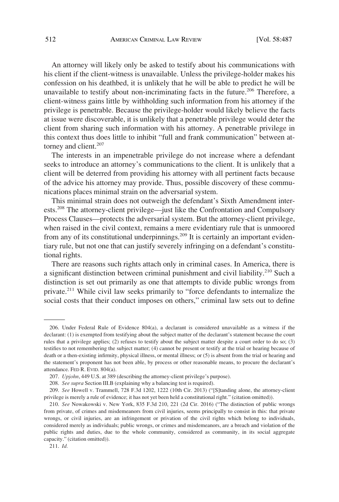An attorney will likely only be asked to testify about his communications with his client if the client-witness is unavailable. Unless the privilege-holder makes his confession on his deathbed, it is unlikely that he will be able to predict he will be unavailable to testify about non-incriminating facts in the future.<sup>206</sup> Therefore, a client-witness gains little by withholding such information from his attorney if the privilege is penetrable. Because the privilege-holder would likely believe the facts at issue were discoverable, it is unlikely that a penetrable privilege would deter the client from sharing such information with his attorney. A penetrable privilege in this context thus does little to inhibit "full and frank communication" between attorney and client.<sup>207</sup>

The interests in an impenetrable privilege do not increase where a defendant seeks to introduce an attorney's communications to the client. It is unlikely that a client will be deterred from providing his attorney with all pertinent facts because of the advice his attorney may provide. Thus, possible discovery of these communications places minimal strain on the adversarial system.

This minimal strain does not outweigh the defendant's Sixth Amendment interests.208 The attorney-client privilege—just like the Confrontation and Compulsory Process Clauses—protects the adversarial system. But the attorney-client privilege, when raised in the civil context, remains a mere evidentiary rule that is unmoored from any of its constitutional underpinnings.<sup>209</sup> It is certainly an important evidentiary rule, but not one that can justify severely infringing on a defendant's constitutional rights.

There are reasons such rights attach only in criminal cases. In America, there is a significant distinction between criminal punishment and civil liability.<sup>210</sup> Such a distinction is set out primarily as one that attempts to divide public wrongs from private.211 While civil law seeks primarily to "force defendants to internalize the social costs that their conduct imposes on others," criminal law sets out to define

<sup>206.</sup> Under Federal Rule of Evidence 804(a), a declarant is considered unavailable as a witness if the declarant: (1) is exempted from testifying about the subject matter of the declarant's statement because the court rules that a privilege applies; (2) refuses to testify about the subject matter despite a court order to do so; (3) testifies to not remembering the subject matter; (4) cannot be present or testify at the trial or hearing because of death or a then-existing infirmity, physical illness, or mental illness; or (5) is absent from the trial or hearing and the statement's proponent has not been able, by process or other reasonable means, to procure the declarant's attendance. FED R. EVID. 804(a).

<sup>207.</sup> *Upjohn*, 449 U.S. at 389 (describing the attorney-client privilege's purpose).

<sup>208.</sup> *See supra* Section III.B (explaining why a balancing test is required).

<sup>209.</sup> *See* Howell v. Trammell, 728 F.3d 1202, 1222 (10th Cir. 2013) ("[S]tanding alone, the attorney-client privilege is merely a rule of evidence; it has not yet been held a constitutional right." (citation omitted)).

<sup>210.</sup> *See* Nowakowski v. New York, 835 F.3d 210, 221 (2d Cir. 2016) ("The distinction of public wrongs from private, of crimes and misdemeanors from civil injuries, seems principally to consist in this: that private wrongs, or civil injuries, are an infringement or privation of the civil rights which belong to individuals, considered merely as individuals; public wrongs, or crimes and misdemeanors, are a breach and violation of the public rights and duties, due to the whole community, considered as community, in its social aggregate capacity." (citation omitted)).

<sup>211.</sup> *Id.*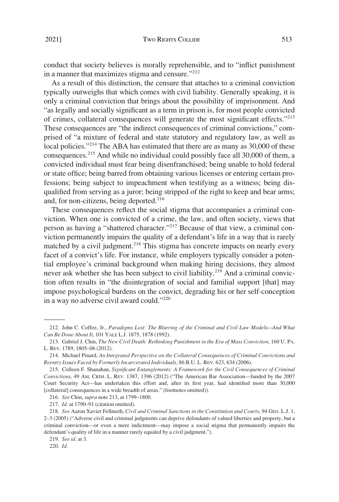conduct that society believes is morally reprehensible, and to "inflict punishment in a manner that maximizes stigma and censure."212

As a result of this distinction, the censure that attaches to a criminal conviction typically outweighs that which comes with civil liability. Generally speaking, it is only a criminal conviction that brings about the possibility of imprisonment. And "as legally and socially significant as a term in prison is, for most people convicted of crimes, collateral consequences will generate the most significant effects."<sup>213</sup> These consequences are "the indirect consequences of criminal convictions," comprised of "a mixture of federal and state statutory and regulatory law, as well as local policies."<sup>214</sup> The ABA has estimated that there are as many as 30,000 of these consequences.<sup>215</sup> And while no individual could possibly face all  $30,000$  of them, a convicted individual must fear being disenfranchised; being unable to hold federal or state office; being barred from obtaining various licenses or entering certain professions; being subject to impeachment when testifying as a witness; being disqualified from serving as a juror; being stripped of the right to keep and bear arms; and, for non-citizens, being deported.<sup>216</sup>

These consequences reflect the social stigma that accompanies a criminal conviction. When one is convicted of a crime, the law, and often society, views that person as having a "shattered character."217 Because of that view, a criminal conviction permanently impairs the quality of a defendant's life in a way that is rarely matched by a civil judgment.<sup>218</sup> This stigma has concrete impacts on nearly every facet of a convict's life. For instance, while employers typically consider a potential employee's criminal background when making hiring decisions, they almost never ask whether she has been subject to civil liability.<sup>219</sup> And a criminal conviction often results in "the disintegration of social and familial support [that] may impose psychological burdens on the convict, degrading his or her self-conception in a way no adverse civil award could."<sup>220</sup>

<sup>212.</sup> John C. Coffee, Jr., *Paradigms Lost: The Blurring of the Criminal and Civil Law Models—And What Can Be Done About It*, 101 YALE L.J. 1875, 1878 (1992).

<sup>213.</sup> Gabriel J. Chin, *The New Civil Death: Rethinking Punishment in the Era of Mass Conviction*, 160 U. PA. L. REV. 1789, 1805–06 (2012).

<sup>214.</sup> Michael Pinard, *An Integrated Perspective on the Collateral Consequences of Criminal Convictions and Reentry Issues Faced by Formerly Incarcerated Individuals*, 86 B.U. L. REV. 623, 634 (2006).

<sup>215.</sup> Colleen F. Shanahan, *Significant Entanglements: A Framework for the Civil Consequences of Criminal Convictions*, 49 AM. CRIM. L. REV. 1387, 1396 (2012) ("The American Bar Association—funded by the 2007 Court Security Act—has undertaken this effort and, after its first year, had identified more than 30,000 [collateral] consequences in a wide breadth of areas." (footnotes omitted)).

<sup>216.</sup> *See* Chin, *supra* note 213, at 1799–1800.

<sup>217.</sup> *Id.* at 1790–91 (citation omitted).

<sup>218.</sup> *See* Aaron Xavier Fellmeth, *Civil and Criminal Sanctions in the Constitution and Courts*, 94 GEO. L.J. 1, 2–3 (2005) ("Adverse civil and criminal judgments can deprive defendants of valued liberties and property, but a criminal conviction—or even a mere indictment—may impose a social stigma that permanently impairs the defendant's quality of life in a manner rarely equaled by a civil judgment.").

<sup>219.</sup> *See id.* at 3.

<sup>220.</sup> *Id.*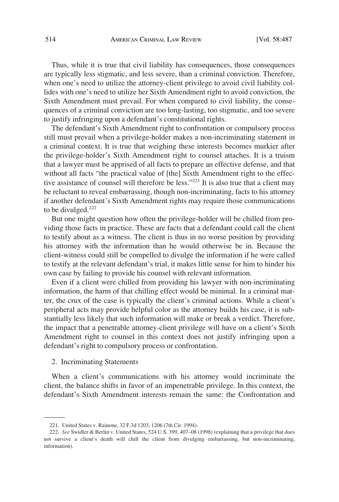<span id="page-27-0"></span>Thus, while it is true that civil liability has consequences, those consequences are typically less stigmatic, and less severe, than a criminal conviction. Therefore, when one's need to utilize the attorney-client privilege to avoid civil liability collides with one's need to utilize her Sixth Amendment right to avoid conviction, the Sixth Amendment must prevail. For when compared to civil liability, the consequences of a criminal conviction are too long-lasting, too stigmatic, and too severe to justify infringing upon a defendant's constitutional rights.

The defendant's Sixth Amendment right to confrontation or compulsory process still must prevail when a privilege-holder makes a non-incriminating statement in a criminal context. It is true that weighing these interests becomes murkier after the privilege-holder's Sixth Amendment right to counsel attaches. It is a truism that a lawyer must be apprised of all facts to prepare an effective defense, and that without all facts "the practical value of [the] Sixth Amendment right to the effective assistance of counsel will therefore be less."<sup>221</sup> It is also true that a client may be reluctant to reveal embarrassing, though non-incriminating, facts to his attorney if another defendant's Sixth Amendment rights may require those communications to be divulged.<sup>222</sup>

But one might question how often the privilege-holder will be chilled from providing those facts in practice. These are facts that a defendant could call the client to testify about as a witness. The client is thus in no worse position by providing his attorney with the information than he would otherwise be in. Because the client-witness could still be compelled to divulge the information if he were called to testify at the relevant defendant's trial, it makes little sense for him to hinder his own case by failing to provide his counsel with relevant information.

Even if a client were chilled from providing his lawyer with non-incriminating information, the harm of that chilling effect would be minimal. In a criminal matter, the crux of the case is typically the client's criminal actions. While a client's peripheral acts may provide helpful color as the attorney builds his case, it is substantially less likely that such information will make or break a verdict. Therefore, the impact that a penetrable attorney-client privilege will have on a client's Sixth Amendment right to counsel in this context does not justify infringing upon a defendant's right to compulsory process or confrontation.

# 2. Incriminating Statements

When a client's communications with his attorney would incriminate the client, the balance shifts in favor of an impenetrable privilege. In this context, the defendant's Sixth Amendment interests remain the same: the Confrontation and

<sup>221.</sup> United States v. Rainone, 32 F.3d 1203, 1206 (7th Cir. 1994).

<sup>222.</sup> *See* Swidler & Berlin v. United States, 524 U.S. 399, 407–08 (1998) (explaining that a privilege that does not survive a client's death will chill the client from divulging embarrassing, but non-incriminating, information).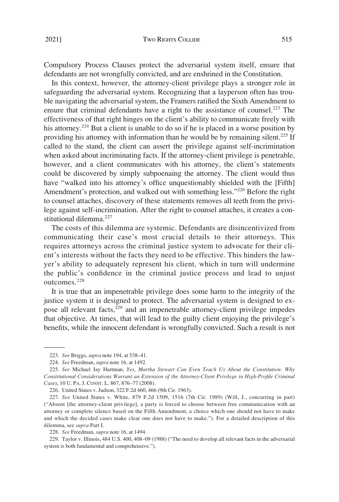Compulsory Process Clauses protect the adversarial system itself, ensure that defendants are not wrongfully convicted, and are enshrined in the Constitution.

In this context, however, the attorney-client privilege plays a stronger role in safeguarding the adversarial system. Recognizing that a layperson often has trouble navigating the adversarial system, the Framers ratified the Sixth Amendment to ensure that criminal defendants have a right to the assistance of counsel.<sup>223</sup> The effectiveness of that right hinges on the client's ability to communicate freely with his attorney.<sup>224</sup> But a client is unable to do so if he is placed in a worse position by providing his attorney with information than he would be by remaining silent.<sup>225</sup> If called to the stand, the client can assert the privilege against self-incrimination when asked about incriminating facts. If the attorney-client privilege is penetrable, however, and a client communicates with his attorney, the client's statements could be discovered by simply subpoenaing the attorney. The client would thus have "walked into his attorney's office unquestionably shielded with the [Fifth] Amendment's protection, and walked out with something less."<sup>226</sup> Before the right to counsel attaches, discovery of these statements removes all teeth from the privilege against self-incrimination. After the right to counsel attaches, it creates a constitutional dilemma.<sup>227</sup>

The costs of this dilemma are systemic. Defendants are disincentivized from communicating their case's most crucial details to their attorneys. This requires attorneys across the criminal justice system to advocate for their client's interests without the facts they need to be effective. This hinders the lawyer's ability to adequately represent his client, which in turn will undermine the public's confidence in the criminal justice process and lead to unjust outcomes.<sup>228</sup>

It is true that an impenetrable privilege does some harm to the integrity of the justice system it is designed to protect. The adversarial system is designed to expose all relevant facts,<sup>229</sup> and an impenetrable attorney-client privilege impedes that objective. At times, that will lead to the guilty client enjoying the privilege's benefits, while the innocent defendant is wrongfully convicted. Such a result is not

<sup>223.</sup> *See* Briggs, *supra* note 194, at 538–41.

<sup>224.</sup> *See* Freedman, *supra* note 16, at 1492.

<sup>225.</sup> *See* Michael Jay Hartman, *Yes, Martha Stewart Can Even Teach Us About the Constitution: Why Constitutional Considerations Warrant an Extension of the Attorney-Client Privilege in High-Profile Criminal Cases*, 10 U. PA. J. CONST. L. 867, 876–77 (2008).

<sup>226.</sup> United States v. Judson, 322 F.2d 460, 466 (9th Cir. 1963).

<sup>227.</sup> *See* United States v. White, 879 F.2d 1509, 1516 (7th Cir. 1989) (Will, J., concurring in part) ("Absent [the attorney-client privilege], a party is forced to choose between free communication with an attorney or complete silence based on the Fifth Amendment, a choice which one should not have to make and which the decided cases make clear one does not have to make."). For a detailed description of this dilemma, see *supra* Part I.

<sup>228.</sup> *See* Freedman, *supra* note 16, at 1494.

<sup>229.</sup> Taylor v. Illinois, 484 U.S. 400, 408–09 (1988) ("The need to develop all relevant facts in the adversarial system is both fundamental and comprehensive.").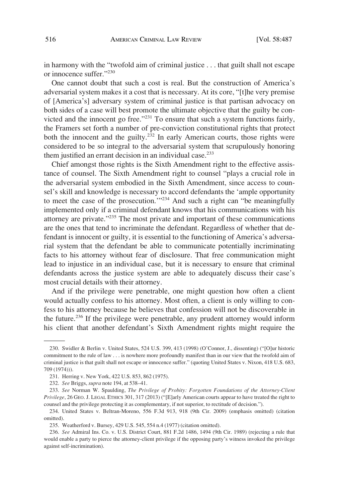in harmony with the "twofold aim of criminal justice . . . that guilt shall not escape or innocence suffer."230

One cannot doubt that such a cost is real. But the construction of America's adversarial system makes it a cost that is necessary. At its core, "[t]he very premise of [America's] adversary system of criminal justice is that partisan advocacy on both sides of a case will best promote the ultimate objective that the guilty be convicted and the innocent go free."231 To ensure that such a system functions fairly, the Framers set forth a number of pre-conviction constitutional rights that protect both the innocent and the guilty.<sup>232</sup> In early American courts, those rights were considered to be so integral to the adversarial system that scrupulously honoring them justified an errant decision in an individual case. $233$ 

Chief amongst those rights is the Sixth Amendment right to the effective assistance of counsel. The Sixth Amendment right to counsel "plays a crucial role in the adversarial system embodied in the Sixth Amendment, since access to counsel's skill and knowledge is necessary to accord defendants the 'ample opportunity to meet the case of the prosecution.'"234 And such a right can "be meaningfully implemented only if a criminal defendant knows that his communications with his attorney are private."235 The most private and important of these communications are the ones that tend to incriminate the defendant. Regardless of whether that defendant is innocent or guilty, it is essential to the functioning of America's adversarial system that the defendant be able to communicate potentially incriminating facts to his attorney without fear of disclosure. That free communication might lead to injustice in an individual case, but it is necessary to ensure that criminal defendants across the justice system are able to adequately discuss their case's most crucial details with their attorney.

And if the privilege were penetrable, one might question how often a client would actually confess to his attorney. Most often, a client is only willing to confess to his attorney because he believes that confession will not be discoverable in the future.236 If the privilege were penetrable, any prudent attorney would inform his client that another defendant's Sixth Amendment rights might require the

<sup>230.</sup> Swidler & Berlin v. United States, 524 U.S. 399, 413 (1998) (O'Connor, J., dissenting) ("[O]ur historic commitment to the rule of law . . . is nowhere more profoundly manifest than in our view that the twofold aim of criminal justice is that guilt shall not escape or innocence suffer." (quoting United States v. Nixon, 418 U.S. 683, 709 (1974))).

<sup>231.</sup> Herring v. New York, 422 U.S. 853, 862 (1975).

<sup>232.</sup> *See* Briggs, *supra* note 194, at 538–41.

<sup>233.</sup> *See* Norman W. Spaulding, *The Privilege of Probity: Forgotten Foundations of the Attorney-Client Privilege*, 26 GEO. J. LEGAL ETHICS 301, 317 (2013) ("[E]arly American courts appear to have treated the right to counsel and the privilege protecting it as complementary, if not superior, to rectitude of decision.").

<sup>234.</sup> United States v. Beltran-Moreno, 556 F.3d 913, 918 (9th Cir. 2009) (emphasis omitted) (citation omitted).

<sup>235.</sup> Weatherford v. Bursey, 429 U.S. 545, 554 n.4 (1977) (citation omitted).

<sup>236.</sup> *See* Admiral Ins. Co. v. U.S. District Court, 881 F.2d 1486, 1494 (9th Cir. 1989) (rejecting a rule that would enable a party to pierce the attorney-client privilege if the opposing party's witness invoked the privilege against self-incrimination).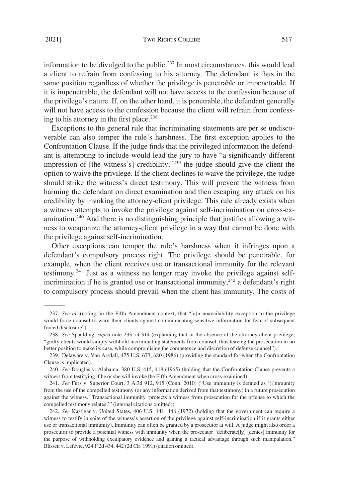2021] Two RIGHTS COLLIDE 517

information to be divulged to the public.<sup>237</sup> In most circumstances, this would lead a client to refrain from confessing to his attorney. The defendant is thus in the same position regardless of whether the privilege is penetrable or impenetrable. If it is impenetrable, the defendant will not have access to the confession because of the privilege's nature. If, on the other hand, it is penetrable, the defendant generally will not have access to the confession because the client will refrain from confessing to his attorney in the first place.<sup>238</sup>

Exceptions to the general rule that incriminating statements are per se undiscoverable can also temper the rule's harshness. The first exception applies to the Confrontation Clause. If the judge finds that the privileged information the defendant is attempting to include would lead the jury to have "a significantly different impression of [the witness's] credibility," $239$  the judge should give the client the option to waive the privilege. If the client declines to waive the privilege, the judge should strike the witness's direct testimony. This will prevent the witness from harming the defendant on direct examination and then escaping any attack on his credibility by invoking the attorney-client privilege. This rule already exists when a witness attempts to invoke the privilege against self-incrimination on cross-examination.<sup>240</sup> And there is no distinguishing principle that justifies allowing a witness to weaponize the attorney-client privilege in a way that cannot be done with the privilege against self-incrimination.

Other exceptions can temper the rule's harshness when it infringes upon a defendant's compulsory process right. The privilege should be penetrable, for example, when the client receives use or transactional immunity for the relevant testimony.<sup>241</sup> Just as a witness no longer may invoke the privilege against selfincrimination if he is granted use or transactional immunity, $242$  a defendant's right to compulsory process should prevail when the client has immunity. The costs of

<sup>237.</sup> *See id.* (noting, in the Fifth Amendment context, that "[a]n unavailability exception to the privilege would force counsel to warn their clients against communicating sensitive information for fear of subsequent forced disclosure").

<sup>238.</sup> *See* Spaulding, *supra* note 233, at 314 (explaining that in the absence of the attorney-client privilege, "guilty clients would simply withhold incriminating statements from counsel, thus leaving the prosecution in no better position to make its case, while compromising the competence and discretion of defense counsel").

<sup>239.</sup> Delaware v. Van Arsdall, 475 U.S. 673, 680 (1986) (providing the standard for when the Confrontation Clause is implicated).

<sup>240.</sup> *See* Douglas v. Alabama, 380 U.S. 415, 419 (1965) (holding that the Confrontation Clause prevents a witness from testifying if he or she will invoke the Fifth Amendment when cross-examined).

<sup>241.</sup> *See* Furs v. Superior Court, 3 A.3d 912, 915 (Conn. 2010) ("Use immunity is defined as '[i]mmunity from the use of the compelled testimony (or any information derived from that testimony) in a future prosecution against the witness.' Transactional immunity 'protects a witness from prosecution for the offense to which the compelled testimony relates.'" (internal citations omitted)).

<sup>242.</sup> *See* Kastigar v. United States, 406 U.S. 441, 448 (1972) (holding that the government can require a witness to testify in spite of the witness's assertion of the privilege against self-incrimination if it grants either use or transactional immunity). Immunity can often be granted by a prosecutor at will. A judge might also order a prosecutor to provide a potential witness with immunity when the prosecutor "deliberate[ly] [denies] immunity for the purpose of withholding exculpatory evidence and gaining a tactical advantage through such manipulation." Blissett v. Lefevre, 924 F.2d 434, 442 (2d Cir. 1991) (citation omitted).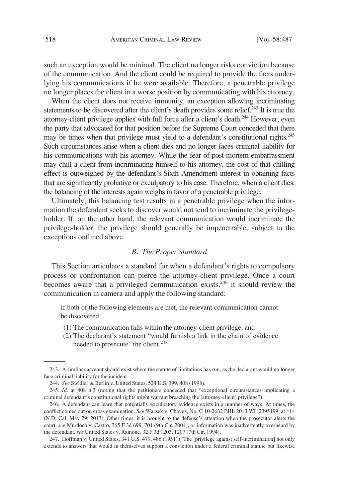<span id="page-31-0"></span>such an exception would be minimal. The client no longer risks conviction because of the communication. And the client could be required to provide the facts underlying his communications if he were available. Therefore, a penetrable privilege no longer places the client in a worse position by communicating with his attorney.

When the client does not receive immunity, an exception allowing incriminating statements to be discovered after the client's death provides some relief.<sup>243</sup> It is true the attorney-client privilege applies with full force after a client's death.<sup>244</sup> However, even the party that advocated for that position before the Supreme Court conceded that there may be times when that privilege must yield to a defendant's constitutional rights.<sup>245</sup> Such circumstances arise when a client dies and no longer faces criminal liability for his communications with his attorney. While the fear of post-mortem embarrassment may chill a client from incriminating himself to his attorney, the cost of that chilling effect is outweighed by the defendant's Sixth Amendment interest in obtaining facts that are significantly probative or exculpatory to his case. Therefore, when a client dies, the balancing of the interests again weighs in favor of a penetrable privilege.

Ultimately, this balancing test results in a penetrable privilege when the information the defendant seeks to discover would not tend to incriminate the privilegeholder. If, on the other hand, the relevant communication would incriminate the privilege-holder, the privilege should generally be impenetrable, subject to the exceptions outlined above.

#### *B. The Proper Standard*

This Section articulates a standard for when a defendant's rights to compulsory process or confrontation can pierce the attorney-client privilege. Once a court becomes aware that a privileged communication exists, $246$  it should review the communication in camera and apply the following standard:

If both of the following elements are met, the relevant communication cannot be discovered:

- (1) The communication falls within the attorney-client privilege; and
- (2) The declarant's statement "would furnish a link in the chain of evidence needed to prosecute" the client.<sup>247</sup>

<sup>243.</sup> A similar carveout should exist where the statute of limitations has run, as the declarant would no longer face criminal liability for the incident.

<sup>244.</sup> *See* Swidler & Berlin v. United States, 524 U.S. 399, 408 (1998).

<sup>245.</sup> *Id.* at 408 n.3 (noting that the petitioners conceded that "exceptional circumstances implicating a criminal defendant's constitutional rights might warrant breaching the [attorney-client] privilege").

<sup>246.</sup> A defendant can learn that potentially exculpatory evidence exists in a number of ways. At times, the conflict comes out on cross examination. *See* Warzek v. Chavez, No. C 10-2632 PJH, 2013 WL 2395199, at \*14 (N.D. Cal. May 29, 2013). Other times, it is brought to the defense's attention when the prosecutor alerts the court, *see* Murdoch v. Castro, 365 F.3d 699, 701 (9th Cir. 2004), or information was inadvertently overheard by the defendant, *see* United States v. Rainone, 32 F.3d 1203, 1207 (7th Cir. 1994).

<sup>247.</sup> Hoffman v. United States, 341 U.S. 479, 486 (1951) ("The [privilege against self-incrimination] not only extends to answers that would in themselves support a conviction under a federal criminal statute but likewise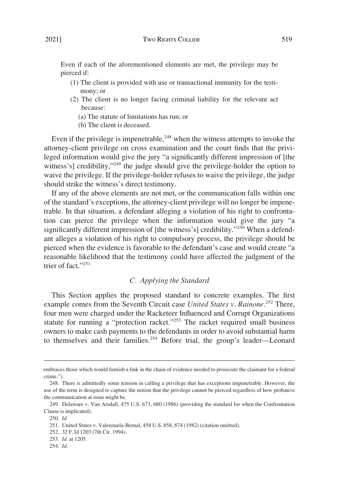<span id="page-32-0"></span>Even if each of the aforementioned elements are met, the privilege may be pierced if:

- (1) The client is provided with use or transactional immunity for the testimony; or
- (2) The client is no longer facing criminal liability for the relevant act because:
	- (a) The statute of limitations has run; or
	- (b) The client is deceased.

Even if the privilege is impenetrable, $248$  when the witness attempts to invoke the attorney-client privilege on cross examination and the court finds that the privileged information would give the jury "a significantly different impression of [the witness's] credibility,"<sup>249</sup> the judge should give the privilege-holder the option to waive the privilege. If the privilege-holder refuses to waive the privilege, the judge should strike the witness's direct testimony.

If any of the above elements are not met, or the communication falls within one of the standard's exceptions, the attorney-client privilege will no longer be impenetrable. In that situation, a defendant alleging a violation of his right to confrontation can pierce the privilege when the information would give the jury "a significantly different impression of [the witness's] credibility."<sup>250</sup> When a defendant alleges a violation of his right to compulsory process, the privilege should be pierced when the evidence is favorable to the defendant's case and would create "a reasonable likelihood that the testimony could have affected the judgment of the trier of fact."251

# *C. Applying the Standard*

This Section applies the proposed standard to concrete examples. The first example comes from the Seventh Circuit case *United States v. Rainone*. 252 There, four men were charged under the Racketeer Influenced and Corrupt Organizations statute for running a "protection racket." $253$  The racket required small business owners to make cash payments to the defendants in order to avoid substantial harm to themselves and their families.<sup>254</sup> Before trial, the group's leader—Leonard

254. *Id.* 

embraces those which would furnish a link in the chain of evidence needed to prosecute the claimant for a federal crime.").

<sup>248.</sup> There is admittedly some tension in calling a privilege that has exceptions impenetrable. However, the use of the term is designed to capture the notion that the privilege cannot be pierced regardless of how probative the communication at issue might be.

<sup>249.</sup> Delaware v. Van Arsdall, 475 U.S. 673, 680 (1986) (providing the standard for when the Confrontation Clause is implicated).

<sup>250.</sup> *Id.* 

<sup>251.</sup> United States v. Valenzuela-Bernal, 458 U.S. 858, 874 (1982) (citation omitted).

<sup>252. 32</sup> F.3d 1203 (7th Cir. 1994).

<sup>253.</sup> *Id.* at 1205.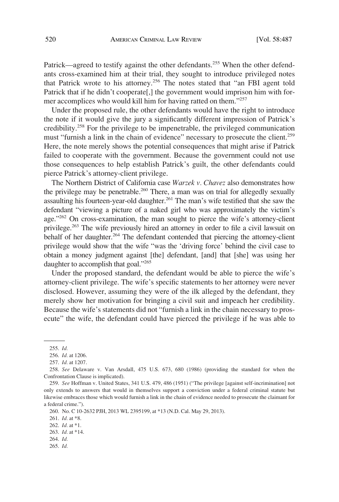Patrick—agreed to testify against the other defendants.<sup>255</sup> When the other defendants cross-examined him at their trial, they sought to introduce privileged notes that Patrick wrote to his attorney.<sup>256</sup> The notes stated that "an FBI agent told Patrick that if he didn't cooperate<sup>[1]</sup>, the government would imprison him with former accomplices who would kill him for having ratted on them."<sup>257</sup>

Under the proposed rule, the other defendants would have the right to introduce the note if it would give the jury a significantly different impression of Patrick's credibility.258 For the privilege to be impenetrable, the privileged communication must "furnish a link in the chain of evidence" necessary to prosecute the client.<sup>259</sup> Here, the note merely shows the potential consequences that might arise if Patrick failed to cooperate with the government. Because the government could not use those consequences to help establish Patrick's guilt, the other defendants could pierce Patrick's attorney-client privilege.

The Northern District of California case *Warzek v. Chavez* also demonstrates how the privilege may be penetrable.<sup>260</sup> There, a man was on trial for allegedly sexually assaulting his fourteen-year-old daughter.<sup>261</sup> The man's wife testified that she saw the defendant "viewing a picture of a naked girl who was approximately the victim's age." $^{262}$  On cross-examination, the man sought to pierce the wife's attorney-client privilege.<sup>263</sup> The wife previously hired an attorney in order to file a civil lawsuit on behalf of her daughter.<sup>264</sup> The defendant contended that piercing the attorney-client privilege would show that the wife "was the 'driving force' behind the civil case to obtain a money judgment against [the] defendant, [and] that [she] was using her daughter to accomplish that goal."265

Under the proposed standard, the defendant would be able to pierce the wife's attorney-client privilege. The wife's specific statements to her attorney were never disclosed. However, assuming they were of the ilk alleged by the defendant, they merely show her motivation for bringing a civil suit and impeach her credibility. Because the wife's statements did not "furnish a link in the chain necessary to prosecute" the wife, the defendant could have pierced the privilege if he was able to

- 264. *Id.*
- 265. *Id.*

<sup>255.</sup> *Id.* 

<sup>256.</sup> *Id.* at 1206.

<sup>257.</sup> *Id.* at 1207.

<sup>258.</sup> *See* Delaware v. Van Arsdall, 475 U.S. 673, 680 (1986) (providing the standard for when the Confrontation Clause is implicated).

<sup>259.</sup> *See* Hoffman v. United States, 341 U.S. 479, 486 (1951) ("The privilege [against self-incrimination] not only extends to answers that would in themselves support a conviction under a federal criminal statute but likewise embraces those which would furnish a link in the chain of evidence needed to prosecute the claimant for a federal crime.").

<sup>260.</sup> No. C 10-2632 PJH, 2013 WL 2395199, at \*13 (N.D. Cal. May 29, 2013).

<sup>261.</sup> *Id.* at \*8.

<sup>262.</sup> *Id.* at \*1.

<sup>263.</sup> *Id.* at \*14.